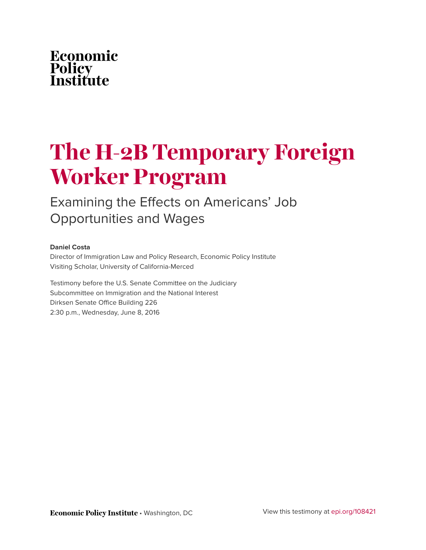# Economic **Policy<br>Institute**

# **The H-2B Temporary Foreign Worker Program**

Examining the Effects on Americans' Job Opportunities and Wages

#### **Daniel Costa**

Director of Immigration Law and Policy Research, Economic Policy Institute Visiting Scholar, University of California-Merced

Testimony before the U.S. Senate Committee on the Judiciary Subcommittee on Immigration and the National Interest Dirksen Senate Office Building 226 2:30 p.m., Wednesday, June 8, 2016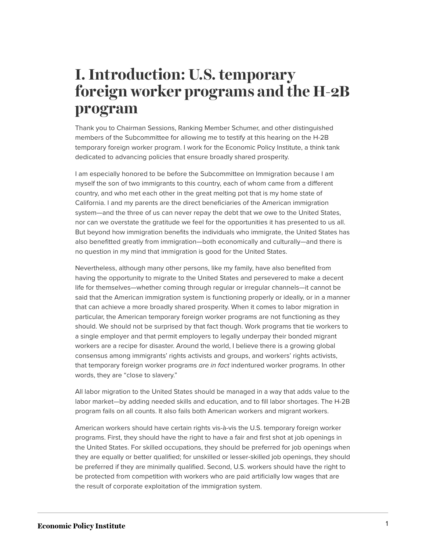# **I. Introduction: U.S. temporary foreign worker programs and the H-2B program**

Thank you to Chairman Sessions, Ranking Member Schumer, and other distinguished members of the Subcommittee for allowing me to testify at this hearing on the H-2B temporary foreign worker program. I work for the Economic Policy Institute, a think tank dedicated to advancing policies that ensure broadly shared prosperity.

I am especially honored to be before the Subcommittee on Immigration because I am myself the son of two immigrants to this country, each of whom came from a different country, and who met each other in the great melting pot that is my home state of California. I and my parents are the direct beneficiaries of the American immigration system—and the three of us can never repay the debt that we owe to the United States, nor can we overstate the gratitude we feel for the opportunities it has presented to us all. But beyond how immigration benefits the individuals who immigrate, the United States has also benefitted greatly from immigration—both economically and culturally—and there is no question in my mind that immigration is good for the United States.

Nevertheless, although many other persons, like my family, have also benefited from having the opportunity to migrate to the United States and persevered to make a decent life for themselves—whether coming through regular or irregular channels—it cannot be said that the American immigration system is functioning properly or ideally, or in a manner that can achieve a more broadly shared prosperity. When it comes to labor migration in particular, the American temporary foreign worker programs are not functioning as they should. We should not be surprised by that fact though. Work programs that tie workers to a single employer and that permit employers to legally underpay their bonded migrant workers are a recipe for disaster. Around the world, I believe there is a growing global consensus among immigrants' rights activists and groups, and workers' rights activists, that temporary foreign worker programs *are in fact* indentured worker programs. In other words, they are "close to slavery."

All labor migration to the United States should be managed in a way that adds value to the labor market—by adding needed skills and education, and to fill labor shortages. The H-2B program fails on all counts. It also fails both American workers and migrant workers.

American workers should have certain rights vis-à-vis the U.S. temporary foreign worker programs. First, they should have the right to have a fair and first shot at job openings in the United States. For skilled occupations, they should be preferred for job openings when they are equally or better qualified; for unskilled or lesser-skilled job openings, they should be preferred if they are minimally qualified. Second, U.S. workers should have the right to be protected from competition with workers who are paid artificially low wages that are the result of corporate exploitation of the immigration system.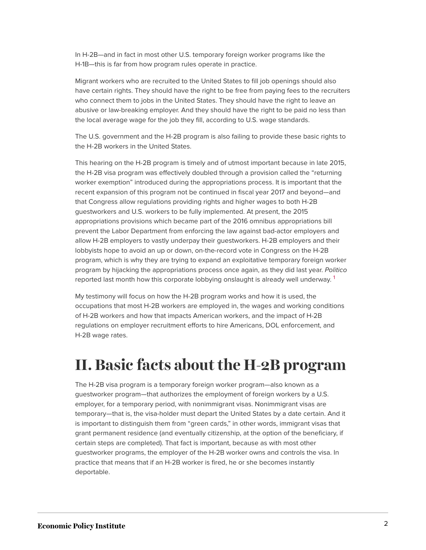In H-2B—and in fact in most other U.S. temporary foreign worker programs like the H-1B—this is far from how program rules operate in practice.

Migrant workers who are recruited to the United States to fill job openings should also have certain rights. They should have the right to be free from paying fees to the recruiters who connect them to jobs in the United States. They should have the right to leave an abusive or law-breaking employer. And they should have the right to be paid no less than the local average wage for the job they fill, according to U.S. wage standards.

The U.S. government and the H-2B program is also failing to provide these basic rights to the H-2B workers in the United States.

This hearing on the H-2B program is timely and of utmost important because in late 2015, the H-2B visa program was effectively doubled through a provision called the "returning worker exemption" introduced during the appropriations process. It is important that the recent expansion of this program not be continued in fiscal year 2017 and beyond—and that Congress allow regulations providing rights and higher wages to both H-2B guestworkers and U.S. workers to be fully implemented. At present, the 2015 appropriations provisions which became part of the 2016 omnibus appropriations bill prevent the Labor Department from enforcing the law against bad-actor employers and allow H-2B employers to vastly underpay their guestworkers. H-2B employers and their lobbyists hope to avoid an up or down, on-the-record vote in Congress on the H-2B program, which is why they are trying to expand an exploitative temporary foreign worker program by hijacking the appropriations process once again, as they did last year. *Politico* reported last month how this corporate lobbying onslaught is already well underway. <sup>[1](#page-28-0)</sup>

<span id="page-2-0"></span>My testimony will focus on how the H-2B program works and how it is used, the occupations that most H-2B workers are employed in, the wages and working conditions of H-2B workers and how that impacts American workers, and the impact of H-2B regulations on employer recruitment efforts to hire Americans, DOL enforcement, and H-2B wage rates.

## **II. Basic facts about the H-2B program**

The H-2B visa program is a temporary foreign worker program—also known as a guestworker program—that authorizes the employment of foreign workers by a U.S. employer, for a temporary period, with nonimmigrant visas. Nonimmigrant visas are temporary—that is, the visa-holder must depart the United States by a date certain. And it is important to distinguish them from "green cards," in other words, immigrant visas that grant permanent residence (and eventually citizenship, at the option of the beneficiary, if certain steps are completed). That fact is important, because as with most other guestworker programs, the employer of the H-2B worker owns and controls the visa. In practice that means that if an H-2B worker is fired, he or she becomes instantly deportable.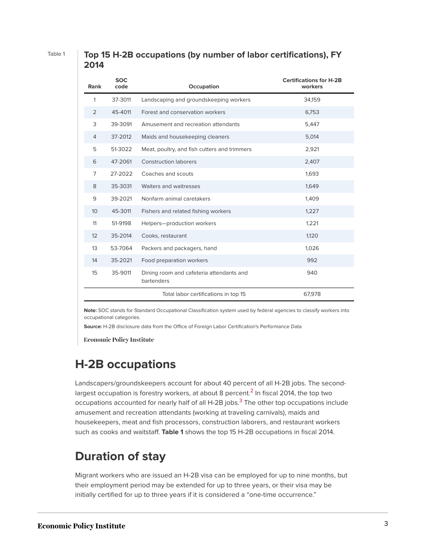#### Table 1 **Top 15 H-2B occupations (by number of labor certifications), FY 2014**

| Rank             | <b>SOC</b><br>code                   | Occupation                                             | <b>Certifications for H-2B</b><br>workers |
|------------------|--------------------------------------|--------------------------------------------------------|-------------------------------------------|
| 1                | 37-3011                              | Landscaping and groundskeeping workers                 | 34,159                                    |
| 2                | 45-4011                              | Forest and conservation workers                        | 6,753                                     |
| 3                | 39-3091                              | Amusement and recreation attendants                    | 5,447                                     |
| 4                | 37-2012                              | Maids and housekeeping cleaners                        | 5,014                                     |
| 5                | 51-3022                              | Meat, poultry, and fish cutters and trimmers           | 2,921                                     |
| 6                | 47-2061                              | <b>Construction laborers</b>                           | 2,407                                     |
| 7                | 27-2022                              | Coaches and scouts                                     | 1,693                                     |
| 8                | 35-3031                              | Waiters and waitresses                                 | 1,649                                     |
| 9                | 39-2021<br>Nonfarm animal caretakers |                                                        | 1,409                                     |
| 10 <sup>10</sup> | 45-3011                              | Fishers and related fishing workers                    | 1,227                                     |
| 11               | 51-9198                              | Helpers-production workers                             | 1,221                                     |
| 12               | 35-2014                              | Cooks, restaurant                                      | 1,120                                     |
| 13               | 53-7064                              | Packers and packagers, hand                            | 1,026                                     |
| 14               | 35-2021                              | Food preparation workers                               | 992                                       |
| 15               | 35-9011                              | Dining room and cafeteria attendants and<br>bartenders | 940                                       |
|                  |                                      | Total labor certifications in top 15                   | 67,978                                    |

**Note:** SOC stands for Standard Occupational Classification system used by federal agencies to classify workers into occupational categories.

**Source:** H-2B disclosure data from the Office of Foreign Labor Certification's Performance Data

**Economic Policy Institute** 

#### **H-2B occupations**

<span id="page-3-1"></span><span id="page-3-0"></span>Landscapers/groundskeepers account for about 40 percent of all H-2B jobs. The secondlargest occupation is forestry workers, at about 8 percent. $^2$  $^2$  In fiscal 2014, the top two occupations accounted for nearly half of all H-2B jobs.<sup>[3](#page-28-2)</sup> The other top occupations include amusement and recreation attendants (working at traveling carnivals), maids and housekeepers, meat and fish processors, construction laborers, and restaurant workers such as cooks and waitstaff. **Table 1** shows the top 15 H-2B occupations in fiscal 2014.

#### **Duration of stay**

Migrant workers who are issued an H-2B visa can be employed for up to nine months, but their employment period may be extended for up to three years, or their visa may be initially certified for up to three years if it is considered a "one-time occurrence."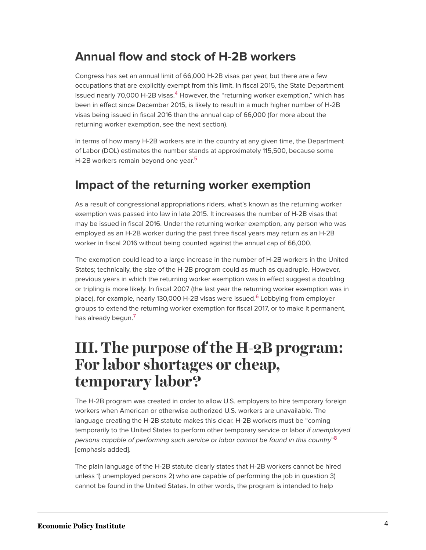### **Annual flow and stock of H-2B workers**

<span id="page-4-0"></span>Congress has set an annual limit of 66,000 H-2B visas per year, but there are a few occupations that are explicitly exempt from this limit. In fiscal 2015, the State Department issued nearly 70,000 H-2B visas. $4$  However, the "returning worker exemption," which has been in effect since December 2015, is likely to result in a much higher number of H-2B visas being issued in fiscal 2016 than the annual cap of 66,000 (for more about the returning worker exemption, see the next section).

<span id="page-4-1"></span>In terms of how many H-2B workers are in the country at any given time, the Department of Labor (DOL) estimates the number stands at approximately 115,500, because some H-2B workers remain beyond one year.<sup>[5](#page-28-4)</sup>

### **Impact of the returning worker exemption**

As a result of congressional appropriations riders, what's known as the returning worker exemption was passed into law in late 2015. It increases the number of H-2B visas that may be issued in fiscal 2016. Under the returning worker exemption, any person who was employed as an H-2B worker during the past three fiscal years may return as an H-2B worker in fiscal 2016 without being counted against the annual cap of 66,000.

<span id="page-4-2"></span>The exemption could lead to a large increase in the number of H-2B workers in the United States; technically, the size of the H-2B program could as much as quadruple. However, previous years in which the returning worker exemption was in effect suggest a doubling or tripling is more likely. In fiscal 2007 (the last year the returning worker exemption was in place), for example, nearly 130,000 H-2B visas were issued.<sup>[6](#page-28-5)</sup> Lobbying from employer groups to extend the returning worker exemption for fiscal 2017, or to make it permanent, has already begun.<sup>[7](#page-28-6)</sup>

## <span id="page-4-3"></span>**III. The purpose of the H-2B program: For labor shortages or cheap, temporary labor?**

The H-2B program was created in order to allow U.S. employers to hire temporary foreign workers when American or otherwise authorized U.S. workers are unavailable. The language creating the H-2B statute makes this clear. H-2B workers must be "coming temporarily to the United States to perform other temporary service or labor *if unemployed persons capable of performing such service or labor cannot be found in this country*" [8](#page-28-7) [emphasis added].

<span id="page-4-4"></span>The plain language of the H-2B statute clearly states that H-2B workers cannot be hired unless 1) unemployed persons 2) who are capable of performing the job in question 3) cannot be found in the United States. In other words, the program is intended to help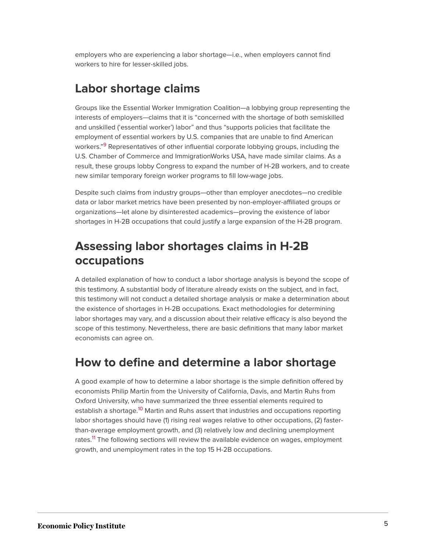employers who are experiencing a labor shortage—i.e., when employers cannot find workers to hire for lesser-skilled jobs.

#### **Labor shortage claims**

<span id="page-5-0"></span>Groups like the Essential Worker Immigration Coalition—a lobbying group representing the interests of employers—claims that it is "concerned with the shortage of both semiskilled and unskilled ('essential worker') labor" and thus "supports policies that facilitate the employment of essential workers by U.S. companies that are unable to find American workers."<sup>[9](#page-28-8)</sup> Representatives of other influential corporate lobbying groups, including the U.S. Chamber of Commerce and ImmigrationWorks USA, have made similar claims. As a result, these groups lobby Congress to expand the number of H-2B workers, and to create new similar temporary foreign worker programs to fill low-wage jobs.

Despite such claims from industry groups—other than employer anecdotes—no credible data or labor market metrics have been presented by non-employer-affiliated groups or organizations—let alone by disinterested academics—proving the existence of labor shortages in H-2B occupations that could justify a large expansion of the H-2B program.

### **Assessing labor shortages claims in H-2B occupations**

A detailed explanation of how to conduct a labor shortage analysis is beyond the scope of this testimony. A substantial body of literature already exists on the subject, and in fact, this testimony will not conduct a detailed shortage analysis or make a determination about the existence of shortages in H-2B occupations. Exact methodologies for determining labor shortages may vary, and a discussion about their relative efficacy is also beyond the scope of this testimony. Nevertheless, there are basic definitions that many labor market economists can agree on.

#### **How to define and determine a labor shortage**

<span id="page-5-2"></span><span id="page-5-1"></span>A good example of how to determine a labor shortage is the simple definition offered by economists Philip Martin from the University of California, Davis, and Martin Ruhs from Oxford University, who have summarized the three essential elements required to establish a shortage.<sup>[10](#page-28-9)</sup> Martin and Ruhs assert that industries and occupations reporting labor shortages should have (1) rising real wages relative to other occupations, (2) fasterthan-average employment growth, and (3) relatively low and declining unemployment rates.<sup>[11](#page-28-10)</sup> The following sections will review the available evidence on wages, employment growth, and unemployment rates in the top 15 H-2B occupations.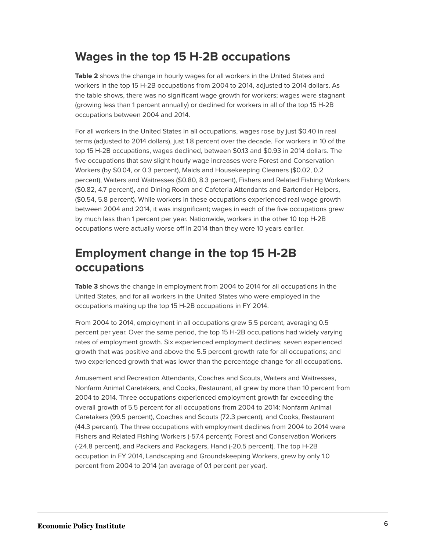### **Wages in the top 15 H-2B occupations**

**Table 2** shows the change in hourly wages for all workers in the United States and workers in the top 15 H-2B occupations from 2004 to 2014, adjusted to 2014 dollars. As the table shows, there was no significant wage growth for workers; wages were stagnant (growing less than 1 percent annually) or declined for workers in all of the top 15 H-2B occupations between 2004 and 2014.

For all workers in the United States in all occupations, wages rose by just \$0.40 in real terms (adjusted to 2014 dollars), just 1.8 percent over the decade. For workers in 10 of the top 15 H-2B occupations, wages declined, between \$0.13 and \$0.93 in 2014 dollars. The five occupations that saw slight hourly wage increases were Forest and Conservation Workers (by \$0.04, or 0.3 percent), Maids and Housekeeping Cleaners (\$0.02, 0.2 percent), Waiters and Waitresses (\$0.80, 8.3 percent), Fishers and Related Fishing Workers (\$0.82, 4.7 percent), and Dining Room and Cafeteria Attendants and Bartender Helpers, (\$0.54, 5.8 percent). While workers in these occupations experienced real wage growth between 2004 and 2014, it was insignificant; wages in each of the five occupations grew by much less than 1 percent per year. Nationwide, workers in the other 10 top H-2B occupations were actually worse off in 2014 than they were 10 years earlier.

### **Employment change in the top 15 H-2B occupations**

**Table 3** shows the change in employment from 2004 to 2014 for all occupations in the United States, and for all workers in the United States who were employed in the occupations making up the top 15 H-2B occupations in FY 2014.

From 2004 to 2014, employment in all occupations grew 5.5 percent, averaging 0.5 percent per year. Over the same period, the top 15 H-2B occupations had widely varying rates of employment growth. Six experienced employment declines; seven experienced growth that was positive and above the 5.5 percent growth rate for all occupations; and two experienced growth that was lower than the percentage change for all occupations.

Amusement and Recreation Attendants, Coaches and Scouts, Waiters and Waitresses, Nonfarm Animal Caretakers, and Cooks, Restaurant, all grew by more than 10 percent from 2004 to 2014. Three occupations experienced employment growth far exceeding the overall growth of 5.5 percent for all occupations from 2004 to 2014: Nonfarm Animal Caretakers (99.5 percent), Coaches and Scouts (72.3 percent), and Cooks, Restaurant (44.3 percent). The three occupations with employment declines from 2004 to 2014 were Fishers and Related Fishing Workers (-57.4 percent); Forest and Conservation Workers (-24.8 percent), and Packers and Packagers, Hand (-20.5 percent). The top H-2B occupation in FY 2014, Landscaping and Groundskeeping Workers, grew by only 1.0 percent from 2004 to 2014 (an average of 0.1 percent per year).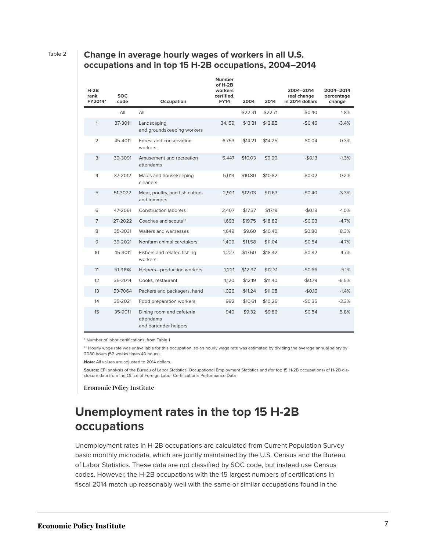#### Table 2 **Change in average hourly wages of workers in all U.S. occupations and in top 15 H-2B occupations, 2004–2014**

|  | $H-2B$<br>rank<br>FY2014* | <b>SOC</b><br>code | Occupation                                                       | <b>Number</b><br>of H-2B<br>workers<br>certified.<br><b>FY14</b> | 2004    | 2014    | 2004-2014<br>real change<br>in 2014 dollars | 2004-2014<br>percentage<br>change |
|--|---------------------------|--------------------|------------------------------------------------------------------|------------------------------------------------------------------|---------|---------|---------------------------------------------|-----------------------------------|
|  |                           | All                | All                                                              |                                                                  | \$22.31 | \$22.71 | \$0.40                                      | 1.8%                              |
|  | $\mathbf{1}$              | 37-3011            | Landscaping<br>and groundskeeping workers                        | 34,159                                                           | \$13.31 | \$12.85 | $-$0.46$                                    | $-3.4%$                           |
|  | $\overline{2}$            | 45-4011            | Forest and conservation<br>workers                               | 6,753                                                            | \$14.21 | \$14.25 | \$0.04                                      | 0.3%                              |
|  | 3                         | 39-3091            | Amusement and recreation<br>attendants                           | 5.447                                                            | \$10.03 | \$9.90  | $-$0.13$                                    | $-1.3%$                           |
|  | $\overline{4}$            | 37-2012            | Maids and housekeeping<br>cleaners                               | 5,014                                                            | \$10.80 | \$10.82 | \$0.02                                      | 0.2%                              |
|  | 5                         | 51-3022            | Meat, poultry, and fish cutters<br>and trimmers                  | 2,921                                                            | \$12.03 | \$11.63 | $-$0.40$                                    | $-3.3%$                           |
|  | 6                         | 47-2061            | <b>Construction laborers</b>                                     | 2,407                                                            | \$17.37 | \$17.19 | $-$0.18$                                    | $-1.0%$                           |
|  | $\overline{7}$            | 27-2022            | Coaches and scouts**                                             | 1,693                                                            | \$19.75 | \$18.82 | $-$0.93$                                    | $-4.7%$                           |
|  | 8                         | 35-3031            | Waiters and waitresses                                           | 1.649                                                            | \$9.60  | \$10.40 | \$0.80                                      | 8.3%                              |
|  | 9                         | 39-2021            | Nonfarm animal caretakers                                        | 1,409                                                            | \$11.58 | \$11.04 | $-$0.54$                                    | $-4.7%$                           |
|  | 10                        | 45-3011            | Fishers and related fishing<br>workers                           | 1,227                                                            | \$17.60 | \$18.42 | \$0.82                                      | 4.7%                              |
|  | 11                        | 51-9198            | Helpers-production workers                                       | 1,221                                                            | \$12.97 | \$12.31 | $-$0.66$                                    | $-5.1%$                           |
|  | 12                        | 35-2014            | Cooks, restaurant                                                | 1,120                                                            | \$12.19 | \$11.40 | $-$0.79$                                    | $-6.5%$                           |
|  | 13                        | 53-7064            | Packers and packagers, hand                                      | 1.026                                                            | \$11.24 | \$11.08 | $-$0.16$                                    | $-1.4%$                           |
|  | 14                        | 35-2021            | Food preparation workers                                         | 992                                                              | \$10.61 | \$10.26 | $-$0.35$                                    | $-3.3%$                           |
|  | 15                        | 35-9011            | Dining room and cafeteria<br>attendants<br>and bartender helpers | 940                                                              | \$9.32  | \$9.86  | \$0.54                                      | 5.8%                              |

\* Number of labor certifications, from Table 1

\*\* Hourly wage rate was unavailable for this occupation, so an hourly wage rate was estimated by dividing the average annual salary by 2080 hours (52 weeks times 40 hours).

**Note:** All values are adjusted to 2014 dollars.

**Source:** EPI analysis of the Bureau of Labor Statistics' Occupational Employment Statistics and (for top 15 H-2B occupations) of H-2B disclosure data from the Office of Foreign Labor Certification's Performance Data

**Economic Policy Institute** 

### **Unemployment rates in the top 15 H-2B occupations**

Unemployment rates in H-2B occupations are calculated from Current Population Survey basic monthly microdata, which are jointly maintained by the U.S. Census and the Bureau of Labor Statistics. These data are not classified by SOC code, but instead use Census codes. However, the H-2B occupations with the 15 largest numbers of certifications in fiscal 2014 match up reasonably well with the same or similar occupations found in the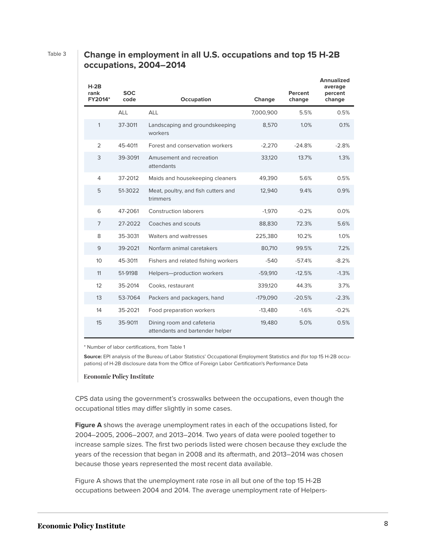#### Table 3 **Change in employment in all U.S. occupations and top 15 H-2B occupations, 2004–2014**

| <b>H-2B</b><br>rank<br>FY2014* | <b>SOC</b><br>code<br>Occupation |                                                              | Change     | Percent<br>change | <b>Annualized</b><br>average<br>percent<br>change |
|--------------------------------|----------------------------------|--------------------------------------------------------------|------------|-------------------|---------------------------------------------------|
|                                | <b>ALL</b>                       | <b>ALL</b>                                                   | 7,000,900  | 5.5%              | 0.5%                                              |
| 1                              | 37-3011                          | Landscaping and groundskeeping<br>workers                    | 8,570      | 1.0%              | 0.1%                                              |
| 2                              | 45-4011                          | Forest and conservation workers                              | $-2.270$   | $-24.8%$          | $-2.8%$                                           |
| 3                              | 39-3091                          | Amusement and recreation<br>attendants                       | 33,120     | 13.7%             | 1.3%                                              |
| 4                              | 37-2012                          | Maids and housekeeping cleaners                              | 49,390     | 5.6%              | 0.5%                                              |
| 5                              | 51-3022                          | Meat, poultry, and fish cutters and<br>trimmers              | 12,940     | 9.4%              | 0.9%                                              |
| 6                              | 47-2061                          | <b>Construction laborers</b>                                 | $-1.970$   | $-0.2%$           | 0.0%                                              |
| 7                              | 27-2022                          | Coaches and scouts                                           | 88,830     | 72.3%             | 5.6%                                              |
| 8                              | 35-3031                          | Waiters and waitresses                                       | 225,380    | 10.2%             | 1.0%                                              |
| 9                              | 39-2021                          | Nonfarm animal caretakers                                    | 80,710     | 99.5%             | 7.2%                                              |
| 10                             | 45-3011                          | Fishers and related fishing workers                          | -540       | $-57.4%$          | $-8.2%$                                           |
| 11                             | 51-9198                          | Helpers-production workers                                   | $-59,910$  | $-12.5%$          | $-1.3%$                                           |
| 12                             | 35-2014                          | Cooks, restaurant                                            | 339,120    | 44.3%             | 3.7%                                              |
| 13                             | 53-7064                          | Packers and packagers, hand                                  | $-179,090$ | $-20.5%$          | $-2.3%$                                           |
| 14                             | 35-2021                          | Food preparation workers                                     | $-13,480$  | $-1.6%$           | $-0.2%$                                           |
| 15                             | 35-9011                          | Dining room and cafeteria<br>attendants and bartender helper | 19,480     | 5.0%              | 0.5%                                              |

\* Number of labor certifications, from Table 1

**Source:** EPI analysis of the Bureau of Labor Statistics' Occupational Employment Statistics and (for top 15 H-2B occupations) of H-2B disclosure data from the Office of Foreign Labor Certification's Performance Data

#### **Economic Policy Institute**

CPS data using the government's crosswalks between the occupations, even though the occupational titles may differ slightly in some cases.

**Figure A** shows the average unemployment rates in each of the occupations listed, for 2004–2005, 2006–2007, and 2013–2014. Two years of data were pooled together to increase sample sizes. The first two periods listed were chosen because they exclude the years of the recession that began in 2008 and its aftermath, and 2013–2014 was chosen because those years represented the most recent data available.

Figure A shows that the unemployment rate rose in all but one of the top 15 H-2B occupations between 2004 and 2014. The average unemployment rate of Helpers-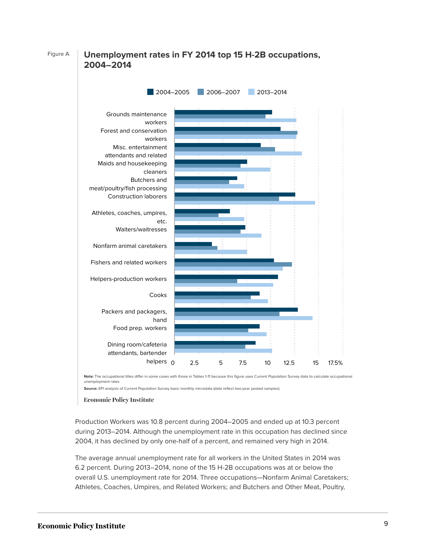#### Figure A **Unemployment rates in FY 2014 top 15 H-2B occupations, 2004–2014**



**Note:** The occupational titles differ in some cases with those in Tables 1-11 because this figure uses Current Population Survey data to calculate occupational unemployment rates.

**Source:** EPI analysis of Current Population Survey basic monthly microdata (data reflect two-year pooled samples)

#### **Economic Policy Institute**

Production Workers was 10.8 percent during 2004–2005 and ended up at 10.3 percent during 2013–2014. Although the unemployment rate in this occupation has declined since 2004, it has declined by only one-half of a percent, and remained very high in 2014.

The average annual unemployment rate for all workers in the United States in 2014 was 6.2 percent. During 2013–2014, none of the 15 H-2B occupations was at or below the overall U.S. unemployment rate for 2014. Three occupations—Nonfarm Animal Caretakers; Athletes, Coaches, Umpires, and Related Workers; and Butchers and Other Meat, Poultry,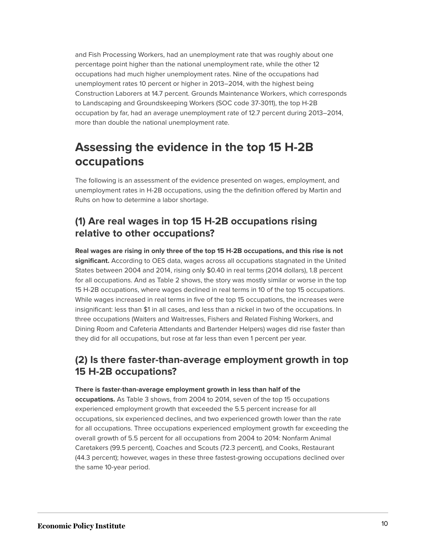and Fish Processing Workers, had an unemployment rate that was roughly about one percentage point higher than the national unemployment rate, while the other 12 occupations had much higher unemployment rates. Nine of the occupations had unemployment rates 10 percent or higher in 2013–2014, with the highest being Construction Laborers at 14.7 percent. Grounds Maintenance Workers, which corresponds to Landscaping and Groundskeeping Workers (SOC code 37-3011), the top H-2B occupation by far, had an average unemployment rate of 12.7 percent during 2013–2014, more than double the national unemployment rate.

### **Assessing the evidence in the top 15 H-2B occupations**

The following is an assessment of the evidence presented on wages, employment, and unemployment rates in H-2B occupations, using the the definition offered by Martin and Ruhs on how to determine a labor shortage.

#### **(1) Are real wages in top 15 H-2B occupations rising relative to other occupations?**

**Real wages are rising in only three of the top 15 H-2B occupations, and this rise is not significant.** According to OES data, wages across all occupations stagnated in the United States between 2004 and 2014, rising only \$0.40 in real terms (2014 dollars), 1.8 percent for all occupations. And as Table 2 shows, the story was mostly similar or worse in the top 15 H-2B occupations, where wages declined in real terms in 10 of the top 15 occupations. While wages increased in real terms in five of the top 15 occupations, the increases were insignificant: less than \$1 in all cases, and less than a nickel in two of the occupations. In three occupations (Waiters and Waitresses, Fishers and Related Fishing Workers, and Dining Room and Cafeteria Attendants and Bartender Helpers) wages did rise faster than they did for all occupations, but rose at far less than even 1 percent per year.

#### **(2) Is there faster-than-average employment growth in top 15 H-2B occupations?**

#### **There is faster-than-average employment growth in less than half of the**

**occupations.** As Table 3 shows, from 2004 to 2014, seven of the top 15 occupations experienced employment growth that exceeded the 5.5 percent increase for all occupations, six experienced declines, and two experienced growth lower than the rate for all occupations. Three occupations experienced employment growth far exceeding the overall growth of 5.5 percent for all occupations from 2004 to 2014: Nonfarm Animal Caretakers (99.5 percent), Coaches and Scouts (72.3 percent), and Cooks, Restaurant (44.3 percent); however, wages in these three fastest-growing occupations declined over the same 10-year period.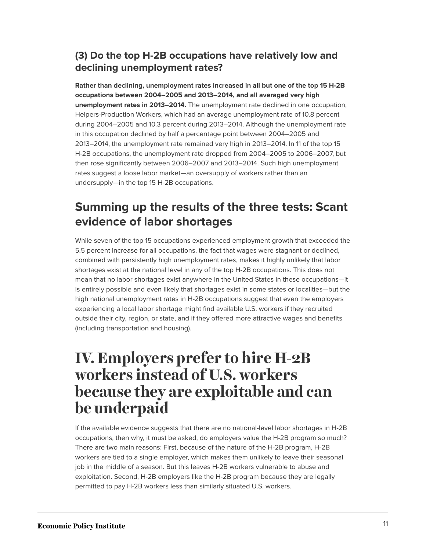#### **(3) Do the top H-2B occupations have relatively low and declining unemployment rates?**

**Rather than declining, unemployment rates increased in all but one of the top 15 H-2B occupations between 2004–2005 and 2013–2014, and all averaged very high unemployment rates in 2013–2014.** The unemployment rate declined in one occupation, Helpers-Production Workers, which had an average unemployment rate of 10.8 percent during 2004–2005 and 10.3 percent during 2013–2014. Although the unemployment rate in this occupation declined by half a percentage point between 2004–2005 and 2013–2014, the unemployment rate remained very high in 2013–2014. In 11 of the top 15 H-2B occupations, the unemployment rate dropped from 2004–2005 to 2006–2007, but then rose significantly between 2006–2007 and 2013–2014. Such high unemployment rates suggest a loose labor market—an oversupply of workers rather than an undersupply—in the top 15 H-2B occupations.

### **Summing up the results of the three tests: Scant evidence of labor shortages**

While seven of the top 15 occupations experienced employment growth that exceeded the 5.5 percent increase for all occupations, the fact that wages were stagnant or declined, combined with persistently high unemployment rates, makes it highly unlikely that labor shortages exist at the national level in any of the top H-2B occupations. This does not mean that no labor shortages exist anywhere in the United States in these occupations—it is entirely possible and even likely that shortages exist in some states or localities—but the high national unemployment rates in H-2B occupations suggest that even the employers experiencing a local labor shortage might find available U.S. workers if they recruited outside their city, region, or state, and if they offered more attractive wages and benefits (including transportation and housing).

# **IV. Employers prefer to hire H-2B workers instead of U.S. workers because they are exploitable and can be underpaid**

If the available evidence suggests that there are no national-level labor shortages in H-2B occupations, then why, it must be asked, do employers value the H-2B program so much? There are two main reasons: First, because of the nature of the H-2B program, H-2B workers are tied to a single employer, which makes them unlikely to leave their seasonal job in the middle of a season. But this leaves H-2B workers vulnerable to abuse and exploitation. Second, H-2B employers like the H-2B program because they are legally permitted to pay H-2B workers less than similarly situated U.S. workers.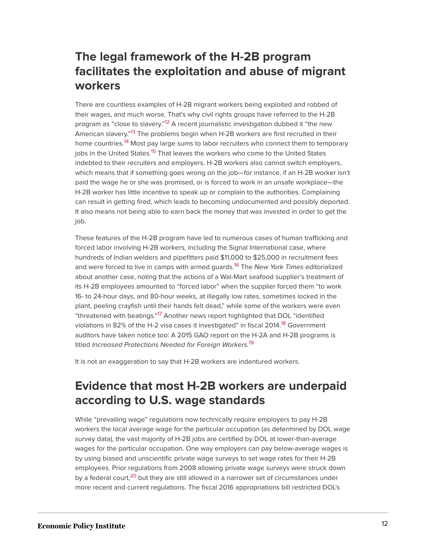### **The legal framework of the H-2B program facilitates the exploitation and abuse of migrant workers**

<span id="page-12-3"></span><span id="page-12-2"></span><span id="page-12-1"></span><span id="page-12-0"></span>There are countless examples of H-2B migrant workers being exploited and robbed of their wages, and much worse. That's why civil rights groups have referred to the H-2B program as "close to slavery."<sup>[12](#page-28-11)</sup> A recent journalistic investigation dubbed it "the new American slavery."<sup>[13](#page-28-12)</sup> The problems begin when H-2B workers are first recruited in their home countries.<sup>[14](#page-29-0)</sup> Most pay large sums to labor recruiters who connect them to temporary jobs in the United States.<sup>[15](#page-29-1)</sup> That leaves the workers who come to the United States indebted to their recruiters and employers. H-2B workers also cannot switch employers, which means that if something goes wrong on the job—for instance, if an H-2B worker isn't paid the wage he or she was promised, or is forced to work in an unsafe workplace—the H-2B worker has little incentive to speak up or complain to the authorities. Complaining can result in getting fired, which leads to becoming undocumented and possibly deported. It also means not being able to earn back the money that was invested in order to get the job.

<span id="page-12-4"></span>These features of the H-2B program have led to numerous cases of human trafficking and forced labor involving H-2B workers, including the Signal International case, where hundreds of Indian welders and pipefitters paid \$11,000 to \$25,000 in recruitment fees and were forced to live in camps with armed guards.[16](#page-29-2) The *New York Times* editorialized about another case, noting that the actions of a Wal-Mart seafood supplier's treatment of its H-2B employees amounted to "forced labor" when the supplier forced them "to work 16- to 24-hour days, and 80-hour weeks, at illegally low rates, sometimes locked in the plant, peeling crayfish until their hands felt dead," while some of the workers were even "threatened with beatings."<sup>[17](#page-29-3)</sup> Another news report highlighted that DOL "identified violations in 82% of the H-2 visa cases it investigated" in fiscal 2014.<sup>[18](#page-29-4)</sup> Government auditors have taken notice too: A 2015 GAO report on the H-2A and H-2B programs is titled *Increased Protections Needed for Foreign Workers.*[19](#page-29-5)

<span id="page-12-7"></span><span id="page-12-6"></span><span id="page-12-5"></span>It is not an exaggeration to say that H-2B workers are indentured workers.

### **Evidence that most H-2B workers are underpaid according to U.S. wage standards**

<span id="page-12-8"></span>While "prevailing wage" regulations now technically require employers to pay H-2B workers the local average wage for the particular occupation (as determined by DOL wage survey data), the vast majority of H-2B jobs are certified by DOL at lower-than-average wages for the particular occupation. One way employers can pay below-average wages is by using biased and unscientific private wage surveys to set wage rates for their H-2B employees. Prior regulations from 2008 allowing private wage surveys were struck down by a federal court,<sup>[20](#page-29-6)</sup> but they are still allowed in a narrower set of circumstances under more recent and current regulations. The fiscal 2016 appropriations bill restricted DOL's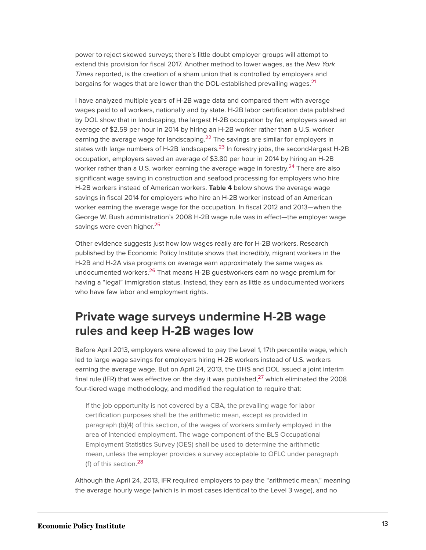power to reject skewed surveys; there's little doubt employer groups will attempt to extend this provision for fiscal 2017. Another method to lower wages, as the *New York Times* reported, is the creation of a sham union that is controlled by employers and bargains for wages that are lower than the DOL-established prevailing wages.<sup>[21](#page-29-7)</sup>

<span id="page-13-3"></span><span id="page-13-2"></span><span id="page-13-1"></span><span id="page-13-0"></span>I have analyzed multiple years of H-2B wage data and compared them with average wages paid to all workers, nationally and by state. H-2B labor certification data published by DOL show that in landscaping, the largest H-2B occupation by far, employers saved an average of \$2.59 per hour in 2014 by hiring an H-2B worker rather than a U.S. worker earning the average wage for landscaping.<sup>[22](#page-29-8)</sup> The savings are similar for employers in states with large numbers of H-2B landscapers.<sup>[23](#page-29-9)</sup> In forestry jobs, the second-largest H-2B occupation, employers saved an average of \$3.80 per hour in 2014 by hiring an H-2B worker rather than a U.S. worker earning the average wage in forestry.<sup>[24](#page-29-10)</sup> There are also significant wage saving in construction and seafood processing for employers who hire H-2B workers instead of American workers. **Table 4** below shows the average wage savings in fiscal 2014 for employers who hire an H-2B worker instead of an American worker earning the average wage for the occupation. In fiscal 2012 and 2013—when the George W. Bush administration's 2008 H-2B wage rule was in effect—the employer wage savings were even higher.<sup>[25](#page-29-11)</sup>

<span id="page-13-5"></span><span id="page-13-4"></span>Other evidence suggests just how low wages really are for H-2B workers. Research published by the Economic Policy Institute shows that incredibly, migrant workers in the H-2B and H-2A visa programs on average earn approximately the same wages as undocumented workers.<sup>[26](#page-29-12)</sup> That means H-2B questworkers earn no wage premium for having a "legal" immigration status. Instead, they earn as little as undocumented workers who have few labor and employment rights.

#### **Private wage surveys undermine H-2B wage rules and keep H-2B wages low**

<span id="page-13-6"></span>Before April 2013, employers were allowed to pay the Level 1, 17th percentile wage, which led to large wage savings for employers hiring H-2B workers instead of U.S. workers earning the average wage. But on April 24, 2013, the DHS and DOL issued a joint interim final rule (IFR) that was effective on the day it was published, $27$  which eliminated the 2008 four-tiered wage methodology, and modified the regulation to require that:

If the job opportunity is not covered by a CBA, the prevailing wage for labor certification purposes shall be the arithmetic mean, except as provided in paragraph (b)(4) of this section, of the wages of workers similarly employed in the area of intended employment. The wage component of the BLS Occupational Employment Statistics Survey (OES) shall be used to determine the arithmetic mean, unless the employer provides a survey acceptable to OFLC under paragraph (f) of this section.[28](#page-29-14)

<span id="page-13-7"></span>Although the April 24, 2013, IFR required employers to pay the "arithmetic mean," meaning the average hourly wage (which is in most cases identical to the Level 3 wage), and no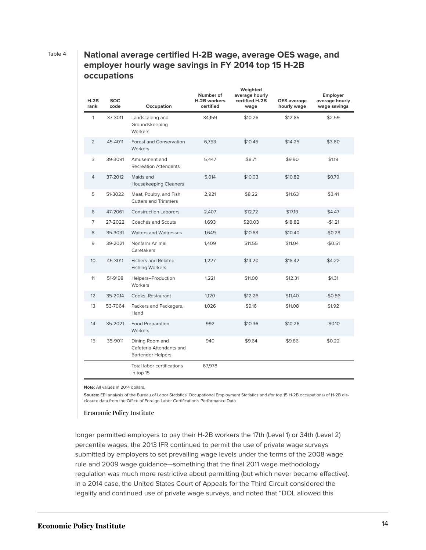#### Table 4 **National average certified H-2B wage, average OES wage, and employer hourly wage savings in FY 2014 top 15 H-2B occupations**

| $H-2B$<br>rank  | <b>SOC</b><br>code | Occupation                                                              | Number of<br>H-2B workers<br>certified | Weighted<br>average hourly<br>certified H-2B<br>wage | <b>OES</b> average<br>hourly wage | <b>Employer</b><br>average hourly<br>wage savings |
|-----------------|--------------------|-------------------------------------------------------------------------|----------------------------------------|------------------------------------------------------|-----------------------------------|---------------------------------------------------|
| $\mathbf{1}$    | 37-3011            | Landscaping and<br>Groundskeeping<br>Workers                            | 34.159                                 | \$10.26                                              | \$12.85                           | \$2.59                                            |
| $\overline{2}$  | 45-4011            | <b>Forest and Conservation</b><br>Workers                               | 6,753                                  | \$10.45                                              | \$14.25                           | \$3.80                                            |
| 3               | 39-3091            | Amusement and<br><b>Recreation Attendants</b>                           | 5,447                                  | \$8.71                                               | \$9.90                            | \$1.19                                            |
| $\overline{4}$  | 37-2012            | Maids and<br><b>Housekeeping Cleaners</b>                               | 5,014                                  | \$10.03                                              | \$10.82                           | \$0.79                                            |
| 5               | 51-3022            | Meat, Poultry, and Fish<br><b>Cutters and Trimmers</b>                  | 2,921                                  | \$8.22                                               | \$11.63                           | \$3.41                                            |
| 6               | 47-2061            | <b>Construction Laborers</b>                                            | 2,407                                  | \$12.72                                              | \$17.19                           | \$4.47                                            |
| $\overline{7}$  | 27-2022            | Coaches and Scouts                                                      | 1,693                                  | \$20.03                                              | \$18.82                           | $-$1.21$                                          |
| 8               | 35-3031            | <b>Waiters and Waitresses</b>                                           | 1,649                                  | \$10.68                                              | \$10.40                           | $-$0.28$                                          |
| 9               | 39-2021            | Nonfarm Animal<br>Caretakers                                            | 1,409                                  | \$11.55                                              | \$11.04                           | $-$0.51$                                          |
| 10 <sup>°</sup> | 45-3011            | <b>Fishers and Related</b><br><b>Fishing Workers</b>                    | 1,227                                  | \$14.20                                              | \$18.42                           | \$4.22                                            |
| 11              | 51-9198            | Helpers-Production<br>Workers                                           | 1,221                                  | \$11.00                                              | \$12.31                           | \$1.31                                            |
| 12 <sup>2</sup> | 35-2014            | Cooks, Restaurant                                                       | 1,120                                  | \$12.26                                              | \$11.40                           | $-$0.86$                                          |
| 13              | 53-7064            | Packers and Packagers,<br>Hand                                          | 1,026                                  | \$9.16                                               | \$11.08                           | \$1.92                                            |
| 14              | 35-2021            | <b>Food Preparation</b><br>Workers                                      | 992                                    | \$10.36                                              | \$10.26                           | $-$0.10$                                          |
| 15              | 35-9011            | Dining Room and<br>Cafeteria Attendants and<br><b>Bartender Helpers</b> | 940                                    | \$9.64                                               | \$9.86                            | \$0.22                                            |
|                 |                    | <b>Total labor certifications</b><br>in top 15                          | 67,978                                 |                                                      |                                   |                                                   |

**Note:** All values in 2014 dollars.

**Source:** EPI analysis of the Bureau of Labor Statistics' Occupational Employment Statistics and (for top 15 H-2B occupations) of H-2B disclosure data from the Office of Foreign Labor Certification's Performance Data

#### **Economic Policy Institute**

longer permitted employers to pay their H-2B workers the 17th (Level 1) or 34th (Level 2) percentile wages, the 2013 IFR continued to permit the use of private wage surveys submitted by employers to set prevailing wage levels under the terms of the 2008 wage rule and 2009 wage guidance—something that the final 2011 wage methodology regulation was much more restrictive about permitting (but which never became effective). In a 2014 case, the United States Court of Appeals for the Third Circuit considered the legality and continued use of private wage surveys, and noted that "DOL allowed this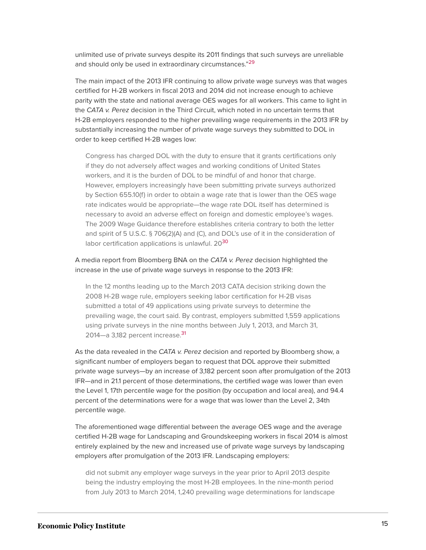<span id="page-15-0"></span>unlimited use of private surveys despite its 2011 findings that such surveys are unreliable and should only be used in extraordinary circumstances."<sup>[29](#page-30-0)</sup>

The main impact of the 2013 IFR continuing to allow private wage surveys was that wages certified for H-2B workers in fiscal 2013 and 2014 did not increase enough to achieve parity with the state and national average OES wages for all workers. This came to light in the *CATA v. Perez* decision in the Third Circuit, which noted in no uncertain terms that H-2B employers responded to the higher prevailing wage requirements in the 2013 IFR by substantially increasing the number of private wage surveys they submitted to DOL in order to keep certified H-2B wages low:

Congress has charged DOL with the duty to ensure that it grants certifications only if they do not adversely affect wages and working conditions of United States workers, and it is the burden of DOL to be mindful of and honor that charge. However, employers increasingly have been submitting private surveys authorized by Section 655.10(f) in order to obtain a wage rate that is lower than the OES wage rate indicates would be appropriate—the wage rate DOL itself has determined is necessary to avoid an adverse effect on foreign and domestic employee's wages. The 2009 Wage Guidance therefore establishes criteria contrary to both the letter and spirit of 5 U.S.C. § 706(2)(A) and (C), and DOL's use of it in the consideration of labor certification applications is unlawful. 20<sup>[30](#page-30-1)</sup>

#### <span id="page-15-1"></span>A media report from Bloomberg BNA on the *CATA v. Perez* decision highlighted the increase in the use of private wage surveys in response to the 2013 IFR:

In the 12 months leading up to the March 2013 CATA decision striking down the 2008 H-2B wage rule, employers seeking labor certification for H-2B visas submitted a total of 49 applications using private surveys to determine the prevailing wage, the court said. By contrast, employers submitted 1,559 applications using private surveys in the nine months between July 1, 2013, and March 31, 2014—a 3,182 percent increase.<sup>[31](#page-30-2)</sup>

<span id="page-15-2"></span>As the data revealed in the *CATA v. Perez* decision and reported by Bloomberg show, a significant number of employers began to request that DOL approve their submitted private wage surveys—by an increase of 3,182 percent soon after promulgation of the 2013 IFR—and in 21.1 percent of those determinations, the certified wage was lower than even the Level 1, 17th percentile wage for the position (by occupation and local area), and 94.4 percent of the determinations were for a wage that was lower than the Level 2, 34th percentile wage.

The aforementioned wage differential between the average OES wage and the average certified H-2B wage for Landscaping and Groundskeeping workers in fiscal 2014 is almost entirely explained by the new and increased use of private wage surveys by landscaping employers after promulgation of the 2013 IFR. Landscaping employers:

did not submit any employer wage surveys in the year prior to April 2013 despite being the industry employing the most H-2B employees. In the nine-month period from July 2013 to March 2014, 1,240 prevailing wage determinations for landscape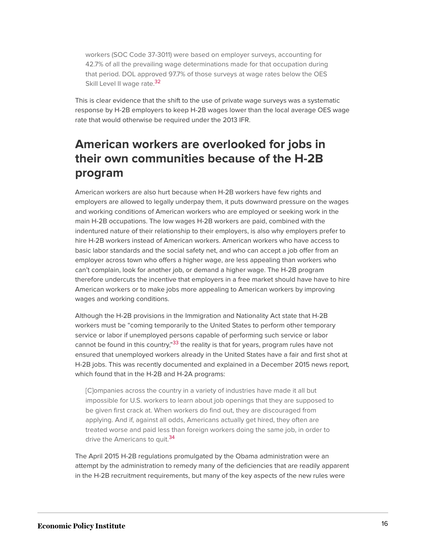workers (SOC Code 37-3011) were based on employer surveys, accounting for 42.7% of all the prevailing wage determinations made for that occupation during that period. DOL approved 97.7% of those surveys at wage rates below the OES Skill Level II wage rate.<sup>[32](#page-30-3)</sup>

<span id="page-16-0"></span>This is clear evidence that the shift to the use of private wage surveys was a systematic response by H-2B employers to keep H-2B wages lower than the local average OES wage rate that would otherwise be required under the 2013 IFR.

### **American workers are overlooked for jobs in their own communities because of the H-2B program**

American workers are also hurt because when H-2B workers have few rights and employers are allowed to legally underpay them, it puts downward pressure on the wages and working conditions of American workers who are employed or seeking work in the main H-2B occupations. The low wages H-2B workers are paid, combined with the indentured nature of their relationship to their employers, is also why employers prefer to hire H-2B workers instead of American workers. American workers who have access to basic labor standards and the social safety net, and who can accept a job offer from an employer across town who offers a higher wage, are less appealing than workers who can't complain, look for another job, or demand a higher wage. The H-2B program therefore undercuts the incentive that employers in a free market should have have to hire American workers or to make jobs more appealing to American workers by improving wages and working conditions.

<span id="page-16-1"></span>Although the H-2B provisions in the Immigration and Nationality Act state that H-2B workers must be "coming temporarily to the United States to perform other temporary service or labor if unemployed persons capable of performing such service or labor cannot be found in this country,"<sup>[33](#page-30-4)</sup> the reality is that for years, program rules have not ensured that unemployed workers already in the United States have a fair and first shot at H-2B jobs. This was recently documented and explained in a December 2015 news report*,* which found that in the H-2B and H-2A programs:

[C]ompanies across the country in a variety of industries have made it all but impossible for U.S. workers to learn about job openings that they are supposed to be given first crack at. When workers do find out, they are discouraged from applying. And if, against all odds, Americans actually get hired, they often are treated worse and paid less than foreign workers doing the same job, in order to drive the Americans to quit.<sup>[34](#page-30-5)</sup>

<span id="page-16-2"></span>The April 2015 H-2B regulations promulgated by the Obama administration were an attempt by the administration to remedy many of the deficiencies that are readily apparent in the H-2B recruitment requirements, but many of the key aspects of the new rules were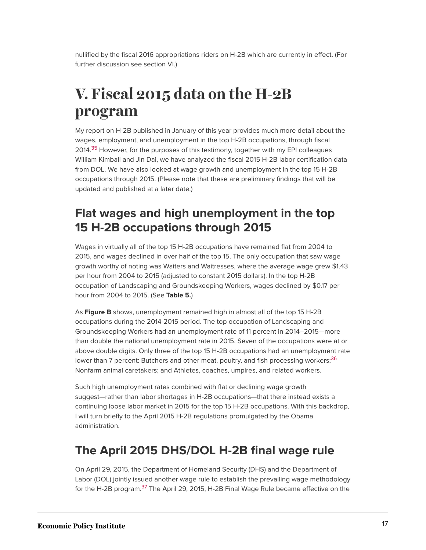nullified by the fiscal 2016 appropriations riders on H-2B which are currently in effect. (For further discussion see section VI.)

# **V. Fiscal 2015 data on the H-2B program**

<span id="page-17-0"></span>My report on H-2B published in January of this year provides much more detail about the wages, employment, and unemployment in the top H-2B occupations, through fiscal 2014.<sup>[35](#page-30-6)</sup> However, for the purposes of this testimony, together with my EPI colleagues William Kimball and Jin Dai, we have analyzed the fiscal 2015 H-2B labor certification data from DOL. We have also looked at wage growth and unemployment in the top 15 H-2B occupations through 2015. (Please note that these are preliminary findings that will be updated and published at a later date.)

### **Flat wages and high unemployment in the top 15 H-2B occupations through 2015**

Wages in virtually all of the top 15 H-2B occupations have remained flat from 2004 to 2015, and wages declined in over half of the top 15. The only occupation that saw wage growth worthy of noting was Waiters and Waitresses, where the average wage grew \$1.43 per hour from 2004 to 2015 (adjusted to constant 2015 dollars). In the top H-2B occupation of Landscaping and Groundskeeping Workers, wages declined by \$0.17 per hour from 2004 to 2015. (See **Table 5.**)

As **Figure B** shows, unemployment remained high in almost all of the top 15 H-2B occupations during the 2014-2015 period. The top occupation of Landscaping and Groundskeeping Workers had an unemployment rate of 11 percent in 2014–2015—more than double the national unemployment rate in 2015. Seven of the occupations were at or above double digits. Only three of the top 15 H-2B occupations had an unemployment rate lower than 7 percent: Butchers and other meat, poultry, and fish processing workers;<sup>[36](#page-30-7)</sup> Nonfarm animal caretakers; and Athletes, coaches, umpires, and related workers.

<span id="page-17-1"></span>Such high unemployment rates combined with flat or declining wage growth suggest—rather than labor shortages in H-2B occupations—that there instead exists a continuing loose labor market in 2015 for the top 15 H-2B occupations. With this backdrop, I will turn briefly to the April 2015 H-2B regulations promulgated by the Obama administration.

### **The April 2015 DHS/DOL H-2B final wage rule**

<span id="page-17-2"></span>On April 29, 2015, the Department of Homeland Security (DHS) and the Department of Labor (DOL) jointly issued another wage rule to establish the prevailing wage methodology for the H-2B program.<sup>[37](#page-30-8)</sup> The April 29, 2015, H-2B Final Wage Rule became effective on the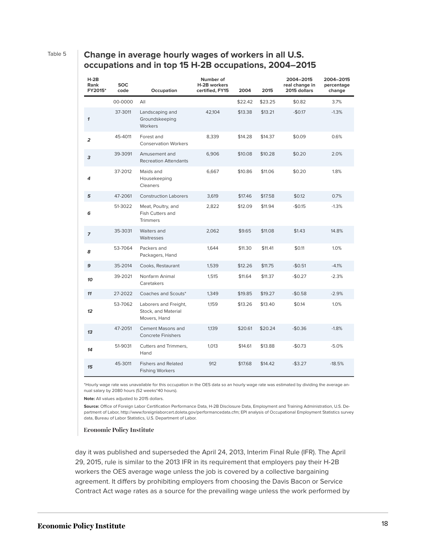#### Table 5 **Change in average hourly wages of workers in all U.S. occupations and in top 15 H-2B occupations, 2004–2015**

| $H-2B$<br>Rank<br>FY2015* | <b>SOC</b><br>code | Occupation                                                   | Number of<br><b>H-2B workers</b><br>certified, FY15 | 2004    | 2015    | 2004-2015<br>real change in<br>2015 dollars | 2004-2015<br>percentage<br>change |
|---------------------------|--------------------|--------------------------------------------------------------|-----------------------------------------------------|---------|---------|---------------------------------------------|-----------------------------------|
|                           | 00-0000            | All                                                          |                                                     | \$22.42 | \$23.25 | \$0.82                                      | 3.7%                              |
| $\mathbf{1}$              | 37-3011            | Landscaping and<br>Groundskeeping<br>Workers                 | 42,104                                              | \$13.38 | \$13.21 | $-$0.17$                                    | $-1.3%$                           |
| $\overline{a}$            | 45-4011            | Forest and<br><b>Conservation Workers</b>                    | 8,339                                               | \$14.28 | \$14.37 | \$0.09                                      | 0.6%                              |
| з                         | 39-3091            | Amusement and<br><b>Recreation Attendants</b>                | 6,906                                               | \$10.08 | \$10.28 | \$0.20                                      | 2.0%                              |
| 4                         | 37-2012            | Maids and<br>Housekeeping<br>Cleaners                        | 6,667                                               | \$10.86 | \$11.06 | \$0.20                                      | 1.8%                              |
| 5                         | 47-2061            | <b>Construction Laborers</b>                                 | 3,619                                               | \$17.46 | \$17.58 | \$0.12                                      | 0.7%                              |
| 6                         | 51-3022            | Meat, Poultry, and<br>Fish Cutters and<br><b>Trimmers</b>    | 2,822                                               | \$12.09 | \$11.94 | $-$0.15$                                    | $-1.3%$                           |
| $\overline{z}$            | 35-3031            | Waiters and<br>Waitresses                                    | 2,062                                               | \$9.65  | \$11.08 | \$1.43                                      | 14.8%                             |
| 8                         | 53-7064            | Packers and<br>Packagers, Hand                               | 1,644                                               | \$11.30 | \$11.41 | \$0.11                                      | 1.0%                              |
| 9                         | 35-2014            | Cooks, Restaurant                                            | 1,539                                               | \$12.26 | \$11.75 | $-$0.51$                                    | $-4.1%$                           |
| 10                        | 39-2021            | Nonfarm Animal<br>Caretakers                                 | 1,515                                               | \$11.64 | \$11.37 | $-$0.27$                                    | $-2.3%$                           |
| 11                        | 27-2022            | Coaches and Scouts*                                          | 1,349                                               | \$19.85 | \$19.27 | $-$0.58$                                    | $-2.9%$                           |
| 12                        | 53-7062            | Laborers and Freight,<br>Stock, and Material<br>Movers, Hand | 1,159                                               | \$13.26 | \$13.40 | \$0.14                                      | 1.0%                              |
| 13                        | 47-2051            | <b>Cement Masons and</b><br><b>Concrete Finishers</b>        | 1,139                                               | \$20.61 | \$20.24 | $-$0.36$                                    | $-1.8%$                           |
| 14                        | 51-9031            | Cutters and Trimmers,<br>Hand                                | 1,013                                               | \$14.61 | \$13.88 | $-$0.73$                                    | $-5.0%$                           |
| 15                        | 45-3011            | <b>Fishers and Related</b><br><b>Fishing Workers</b>         | 912                                                 | \$17.68 | \$14.42 | $-$ \$3.27                                  | $-18.5%$                          |

\*Hourly wage rate was unavailable for this occupation in the OES data so an hourly wage rate was estimated by dividing the average annual salary by 2080 hours (52 weeks\*40 hours).

**Note:** All values adjusted to 2015 dollars.

**Source:** Office of Foreign Labor Certification Performance Data, H-2B Disclosure Data, Employment and Training Administration, U.S. Department of Labor, http://www.foreignlaborcert.doleta.gov/performancedata.cfm; EPI analysis of Occupational Employment Statistics survey data, Bureau of Labor Statistics, U.S. Department of Labor.

#### **Economic Policy Institute**

day it was published and superseded the April 24, 2013, Interim Final Rule (IFR). The April 29, 2015, rule is similar to the 2013 IFR in its requirement that employers pay their H-2B workers the OES average wage unless the job is covered by a collective bargaining agreement. It differs by prohibiting employers from choosing the Davis Bacon or Service Contract Act wage rates as a source for the prevailing wage unless the work performed by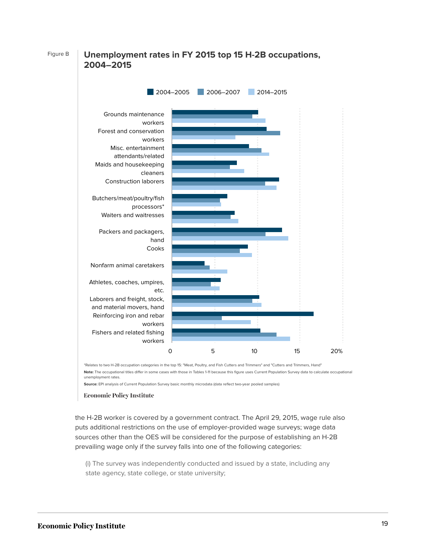#### Figure B **Unemployment rates in FY 2015 top 15 H-2B occupations, 2004–2015**



\*Relates to two H-2B occupation categories in the top 15: "Meat, Poultry, and Fish Cutters and Trimmers" and "Cutters and Trimmers, Hand" **Note:** The occupational titles differ in some cases with those in Tables 1-11 because this figure uses Current Population Survey data to calculate occupational unemployment rates.

**Source:** EPI analysis of Current Population Survey basic monthly microdata (data reflect two-year pooled samples)

#### **Economic Policy Institute**

the H-2B worker is covered by a government contract. The April 29, 2015, wage rule also puts additional restrictions on the use of employer-provided wage surveys; wage data sources other than the OES will be considered for the purpose of establishing an H-2B prevailing wage only if the survey falls into one of the following categories:

(i) The survey was independently conducted and issued by a state, including any state agency, state college, or state university;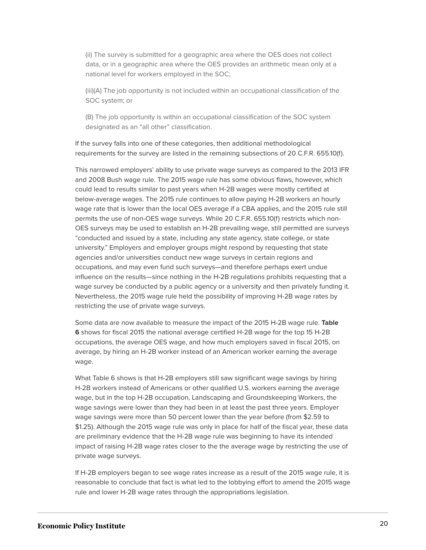(ii) The survey is submitted for a geographic area where the OES does not collect data, or in a geographic area where the OES provides an arithmetic mean only at a national level for workers employed in the SOC;

(iii)(A) The job opportunity is not included within an occupational classification of the SOC system; or

(B) The job opportunity is within an occupational classification of the SOC system designated as an "all other" classification.

If the survey falls into one of these categories, then additional methodological requirements for the survey are listed in the remaining subsections of 20 C.F.R. 655.10(f).

This narrowed employers' ability to use private wage surveys as compared to the 2013 IFR and 2008 Bush wage rule. The 2015 wage rule has some obvious flaws, however, which could lead to results similar to past years when H-2B wages were mostly certified at below-average wages. The 2015 rule continues to allow paying H-2B workers an hourly wage rate that is lower than the local OES average if a CBA applies, and the 2015 rule still permits the use of non-OES wage surveys. While 20 C.F.R. 655.10(f) restricts which non-OES surveys may be used to establish an H-2B prevailing wage, still permitted are surveys "conducted and issued by a state, including any state agency, state college, or state university." Employers and employer groups might respond by requesting that state agencies and/or universities conduct new wage surveys in certain regions and occupations, and may even fund such surveys—and therefore perhaps exert undue influence on the results—since nothing in the H-2B regulations prohibits requesting that a wage survey be conducted by a public agency or a university and then privately funding it. Nevertheless, the 2015 wage rule held the possibility of improving H-2B wage rates by restricting the use of private wage surveys.

Some data are now available to measure the impact of the 2015 H-2B wage rule. **Table 6** shows for fiscal 2015 the national average certified H-2B wage for the top 15 H-2B occupations, the average OES wage, and how much employers saved in fiscal 2015, on average, by hiring an H-2B worker instead of an American worker earning the average wage.

What Table 6 shows is that H-2B employers still saw significant wage savings by hiring H-2B workers instead of Americans or other qualified U.S. workers earning the average wage, but in the top H-2B occupation, Landscaping and Groundskeeping Workers, the wage savings were lower than they had been in at least the past three years. Employer wage savings were more than 50 percent lower than the year before (from \$2.59 to \$1.25). Although the 2015 wage rule was only in place for half of the fiscal year, these data are preliminary evidence that the H-2B wage rule was beginning to have its intended impact of raising H-2B wage rates closer to the the average wage by restricting the use of private wage surveys.

If H-2B employers began to see wage rates increase as a result of the 2015 wage rule, it is reasonable to conclude that fact is what led to the lobbying effort to amend the 2015 wage rule and lower H-2B wage rates through the appropriations legislation.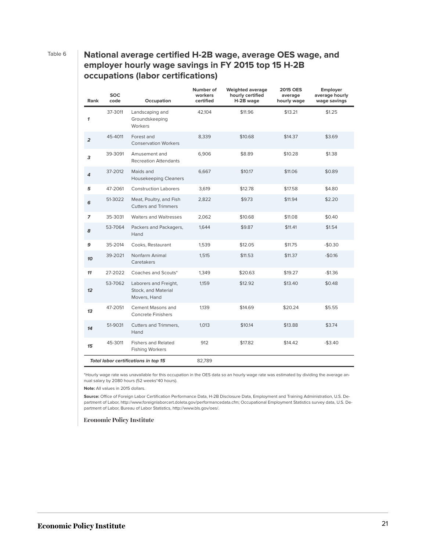#### Table 6 **National average certified H-2B wage, average OES wage, and employer hourly wage savings in FY 2015 top 15 H-2B occupations (labor certifications)**

| Rank                                 | <b>SOC</b><br>code | Occupation                                                   | Number of<br>workers<br>certified | <b>Weighted average</b><br>hourly certified<br>H-2B wage | <b>2015 OES</b><br>average<br>hourly wage | Employer<br>average hourly<br>wage savings |
|--------------------------------------|--------------------|--------------------------------------------------------------|-----------------------------------|----------------------------------------------------------|-------------------------------------------|--------------------------------------------|
| $\boldsymbol{\mathcal{L}}$           | 37-3011            | Landscaping and<br>Groundskeeping<br>Workers                 | 42,104                            | \$11.96                                                  | \$13.21                                   | \$1.25                                     |
| $\overline{a}$                       | 45-4011            | Forest and<br><b>Conservation Workers</b>                    | 8,339                             | \$10.68                                                  | \$14.37                                   | \$3.69                                     |
| 3                                    | 39-3091            | Amusement and<br><b>Recreation Attendants</b>                | 6,906                             | \$8.89                                                   | \$10.28                                   | \$1.38                                     |
| 4                                    | 37-2012            | Maids and<br><b>Housekeeping Cleaners</b>                    | 6,667                             | \$10.17                                                  | \$11.06                                   | \$0.89                                     |
| 5                                    | 47-2061            | <b>Construction Laborers</b>                                 | 3,619                             | \$12.78                                                  | \$17.58                                   | \$4.80                                     |
| 6                                    | 51-3022            | Meat, Poultry, and Fish<br><b>Cutters and Trimmers</b>       | 2,822                             | \$9.73                                                   | \$11.94                                   | \$2.20                                     |
| $\overline{z}$                       | 35-3031            | <b>Waiters and Waitresses</b>                                | 2,062                             | \$10.68                                                  | \$11.08                                   | \$0.40                                     |
| 8                                    | 53-7064            | Packers and Packagers,<br>Hand                               | 1,644                             | \$9.87                                                   | \$11.41                                   | \$1.54                                     |
| 9                                    | 35-2014            | Cooks, Restaurant                                            | 1,539                             | \$12.05                                                  | \$11.75                                   | $-$0.30$                                   |
| 10                                   | 39-2021            | Nonfarm Animal<br>Caretakers                                 | 1,515                             | \$11.53                                                  | \$11.37                                   | $-$0.16$                                   |
| 11                                   | 27-2022            | Coaches and Scouts*                                          | 1,349                             | \$20.63                                                  | \$19.27                                   | $-$1.36$                                   |
| 12                                   | 53-7062            | Laborers and Freight,<br>Stock, and Material<br>Movers, Hand | 1,159                             | \$12.92                                                  | \$13.40                                   | \$0.48                                     |
| 13                                   | 47-2051            | <b>Cement Masons and</b><br><b>Concrete Finishers</b>        | 1,139                             | \$14.69                                                  | \$20.24                                   | \$5.55                                     |
| 14                                   | 51-9031            | Cutters and Trimmers,<br>Hand                                | 1,013                             | \$10.14                                                  | \$13.88                                   | \$3.74                                     |
| 15                                   | 45-3011            | <b>Fishers and Related</b><br><b>Fishing Workers</b>         | 912                               | \$17.82                                                  | \$14.42                                   | $-$3.40$                                   |
| Total labor certifications in top 15 |                    |                                                              | 82,789                            |                                                          |                                           |                                            |

\*Hourly wage rate was unavailable for this occupation in the OES data so an hourly wage rate was estimated by dividing the average annual salary by 2080 hours (52 weeks\*40 hours).

**Note:** All values in 2015 dollars.

**Source:** Office of Foreign Labor Certification Performance Data, H-2B Disclosure Data, Employment and Training Administration, U.S. Department of Labor, http://www.foreignlaborcert.doleta.gov/performancedata.cfm; Occupational Employment Statistics survey data, U.S. Department of Labor, Bureau of Labor Statistics, http://www.bls.gov/oes/.

**Economic Policy Institute**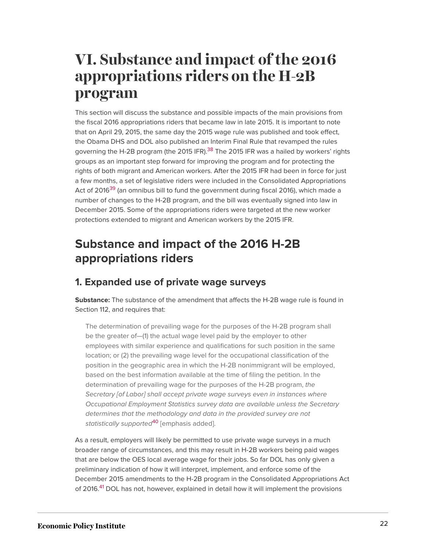# **VI. Substance and impact of the 2016 appropriations riders on the H-2B program**

<span id="page-22-0"></span>This section will discuss the substance and possible impacts of the main provisions from the fiscal 2016 appropriations riders that became law in late 2015. It is important to note that on April 29, 2015, the same day the 2015 wage rule was published and took effect, the Obama DHS and DOL also published an Interim Final Rule that revamped the rules governing the H-2B program (the 2015 IFR).<sup>[38](#page-30-9)</sup> The 2015 IFR was a hailed by workers' rights groups as an important step forward for improving the program and for protecting the rights of both migrant and American workers. After the 2015 IFR had been in force for just a few months, a set of legislative riders were included in the Consolidated Appropriations Act of 2016<sup>[39](#page-30-10)</sup> (an omnibus bill to fund the government during fiscal 2016), which made a number of changes to the H-2B program, and the bill was eventually signed into law in December 2015. Some of the appropriations riders were targeted at the new worker protections extended to migrant and American workers by the 2015 IFR.

### <span id="page-22-1"></span>**Substance and impact of the 2016 H-2B appropriations riders**

#### **1. Expanded use of private wage surveys**

**Substance:** The substance of the amendment that affects the H-2B wage rule is found in Section 112, and requires that:

The determination of prevailing wage for the purposes of the H-2B program shall be the greater of—(1) the actual wage level paid by the employer to other employees with similar experience and qualifications for such position in the same location; or (2) the prevailing wage level for the occupational classification of the position in the geographic area in which the H-2B nonimmigrant will be employed, based on the best information available at the time of filing the petition. In the determination of prevailing wage for the purposes of the H-2B program, *the Secretary [of Labor] shall accept private wage surveys even in instances where Occupational Employment Statistics survey data are available unless the Secretary determines that the methodology and data in the provided survey are not statistically supported*[40](#page-30-11) [emphasis added].

<span id="page-22-3"></span><span id="page-22-2"></span>As a result, employers will likely be permitted to use private wage surveys in a much broader range of circumstances, and this may result in H-2B workers being paid wages that are below the OES local average wage for their jobs. So far DOL has only given a preliminary indication of how it will interpret, implement, and enforce some of the December 2015 amendments to the H-2B program in the Consolidated Appropriations Act of 2016.<sup>[41](#page-30-12)</sup> DOL has not, however, explained in detail how it will implement the provisions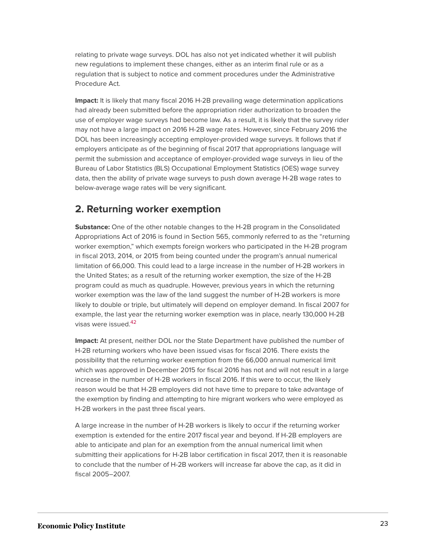relating to private wage surveys. DOL has also not yet indicated whether it will publish new regulations to implement these changes, either as an interim final rule or as a regulation that is subject to notice and comment procedures under the Administrative Procedure Act.

**Impact:** It is likely that many fiscal 2016 H-2B prevailing wage determination applications had already been submitted before the appropriation rider authorization to broaden the use of employer wage surveys had become law. As a result, it is likely that the survey rider may not have a large impact on 2016 H-2B wage rates. However, since February 2016 the DOL has been increasingly accepting employer-provided wage surveys. It follows that if employers anticipate as of the beginning of fiscal 2017 that appropriations language will permit the submission and acceptance of employer-provided wage surveys in lieu of the Bureau of Labor Statistics (BLS) Occupational Employment Statistics (OES) wage survey data, then the ability of private wage surveys to push down average H-2B wage rates to below-average wage rates will be very significant.

#### **2. Returning worker exemption**

**Substance:** One of the other notable changes to the H-2B program in the Consolidated Appropriations Act of 2016 is found in Section 565, commonly referred to as the "returning worker exemption," which exempts foreign workers who participated in the H-2B program in fiscal 2013, 2014, or 2015 from being counted under the program's annual numerical limitation of 66,000. This could lead to a large increase in the number of H-2B workers in the United States; as a result of the returning worker exemption, the size of the H-2B program could as much as quadruple. However, previous years in which the returning worker exemption was the law of the land suggest the number of H-2B workers is more likely to double or triple, but ultimately will depend on employer demand. In fiscal 2007 for example, the last year the returning worker exemption was in place, nearly 130,000 H-2B visas were issued.<sup>[42](#page-30-13)</sup>

<span id="page-23-0"></span>**Impact:** At present, neither DOL nor the State Department have published the number of H-2B returning workers who have been issued visas for fiscal 2016. There exists the possibility that the returning worker exemption from the 66,000 annual numerical limit which was approved in December 2015 for fiscal 2016 has not and will not result in a large increase in the number of H-2B workers in fiscal 2016. If this were to occur, the likely reason would be that H-2B employers did not have time to prepare to take advantage of the exemption by finding and attempting to hire migrant workers who were employed as H-2B workers in the past three fiscal years.

A large increase in the number of H-2B workers is likely to occur if the returning worker exemption is extended for the entire 2017 fiscal year and beyond. If H-2B employers are able to anticipate and plan for an exemption from the annual numerical limit when submitting their applications for H-2B labor certification in fiscal 2017, then it is reasonable to conclude that the number of H-2B workers will increase far above the cap, as it did in fiscal 2005–2007.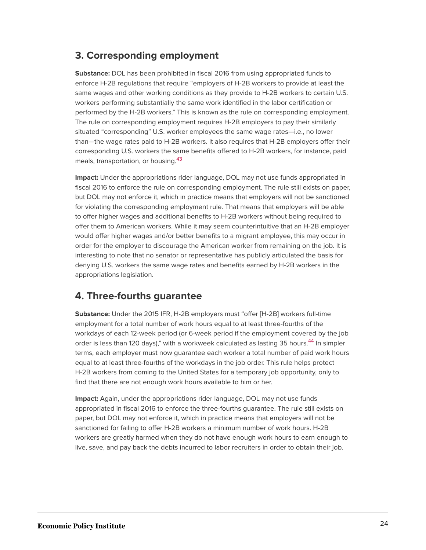#### **3. Corresponding employment**

**Substance:** DOL has been prohibited in fiscal 2016 from using appropriated funds to enforce H-2B regulations that require "employers of H-2B workers to provide at least the same wages and other working conditions as they provide to H-2B workers to certain U.S. workers performing substantially the same work identified in the labor certification or performed by the H-2B workers." This is known as the rule on corresponding employment. The rule on corresponding employment requires H-2B employers to pay their similarly situated "corresponding" U.S. worker employees the same wage rates—i.e., no lower than—the wage rates paid to H-2B workers. It also requires that H-2B employers offer their corresponding U.S. workers the same benefits offered to H-2B workers, for instance, paid meals, transportation, or housing.<sup>[43](#page-30-14)</sup>

<span id="page-24-0"></span>**Impact:** Under the appropriations rider language, DOL may not use funds appropriated in fiscal 2016 to enforce the rule on corresponding employment. The rule still exists on paper, but DOL may not enforce it, which in practice means that employers will not be sanctioned for violating the corresponding employment rule. That means that employers will be able to offer higher wages and additional benefits to H-2B workers without being required to offer them to American workers. While it may seem counterintuitive that an H-2B employer would offer higher wages and/or better benefits to a migrant employee, this may occur in order for the employer to discourage the American worker from remaining on the job. It is interesting to note that no senator or representative has publicly articulated the basis for denying U.S. workers the same wage rates and benefits earned by H-2B workers in the appropriations legislation.

#### **4. Three-fourths guarantee**

<span id="page-24-1"></span>**Substance:** Under the 2015 IFR, H-2B employers must "offer [H-2B] workers full-time employment for a total number of work hours equal to at least three-fourths of the workdays of each 12-week period (or 6-week period if the employment covered by the job order is less than 120 days)," with a workweek calculated as lasting 35 hours.<sup>[44](#page-30-15)</sup> In simpler terms, each employer must now guarantee each worker a total number of paid work hours equal to at least three-fourths of the workdays in the job order. This rule helps protect H-2B workers from coming to the United States for a temporary job opportunity, only to find that there are not enough work hours available to him or her.

**Impact:** Again, under the appropriations rider language, DOL may not use funds appropriated in fiscal 2016 to enforce the three-fourths guarantee. The rule still exists on paper, but DOL may not enforce it, which in practice means that employers will not be sanctioned for failing to offer H-2B workers a minimum number of work hours. H-2B workers are greatly harmed when they do not have enough work hours to earn enough to live, save, and pay back the debts incurred to labor recruiters in order to obtain their job.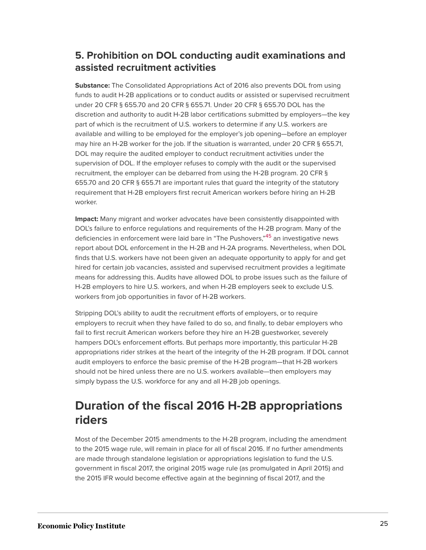#### **5. Prohibition on DOL conducting audit examinations and assisted recruitment activities**

**Substance:** The Consolidated Appropriations Act of 2016 also prevents DOL from using funds to audit H-2B applications or to conduct audits or assisted or supervised recruitment under 20 CFR § 655.70 and 20 CFR § 655.71. Under 20 CFR § 655.70 DOL has the discretion and authority to audit H-2B labor certifications submitted by employers—the key part of which is the recruitment of U.S. workers to determine if any U.S. workers are available and willing to be employed for the employer's job opening—before an employer may hire an H-2B worker for the job. If the situation is warranted, under 20 CFR § 655.71, DOL may require the audited employer to conduct recruitment activities under the supervision of DOL. If the employer refuses to comply with the audit or the supervised recruitment, the employer can be debarred from using the H-2B program. 20 CFR § 655.70 and 20 CFR § 655.71 are important rules that guard the integrity of the statutory requirement that H-2B employers first recruit American workers before hiring an H-2B worker.

<span id="page-25-0"></span>**Impact:** Many migrant and worker advocates have been consistently disappointed with DOL's failure to enforce regulations and requirements of the H-2B program. Many of the deficiencies in enforcement were laid bare in "The Pushovers,"<sup>[45](#page-31-0)</sup> an investigative news report about DOL enforcement in the H-2B and H-2A programs. Nevertheless, when DOL finds that U.S. workers have not been given an adequate opportunity to apply for and get hired for certain job vacancies, assisted and supervised recruitment provides a legitimate means for addressing this. Audits have allowed DOL to probe issues such as the failure of H-2B employers to hire U.S. workers, and when H-2B employers seek to exclude U.S. workers from job opportunities in favor of H-2B workers.

Stripping DOL's ability to audit the recruitment efforts of employers, or to require employers to recruit when they have failed to do so, and finally, to debar employers who fail to first recruit American workers before they hire an H-2B guestworker, severely hampers DOL's enforcement efforts. But perhaps more importantly, this particular H-2B appropriations rider strikes at the heart of the integrity of the H-2B program. If DOL cannot audit employers to enforce the basic premise of the H-2B program—that H-2B workers should not be hired unless there are no U.S. workers available—then employers may simply bypass the U.S. workforce for any and all H-2B job openings.

### **Duration of the fiscal 2016 H-2B appropriations riders**

Most of the December 2015 amendments to the H-2B program, including the amendment to the 2015 wage rule, will remain in place for all of fiscal 2016. If no further amendments are made through standalone legislation or appropriations legislation to fund the U.S. government in fiscal 2017, the original 2015 wage rule (as promulgated in April 2015) and the 2015 IFR would become effective again at the beginning of fiscal 2017, and the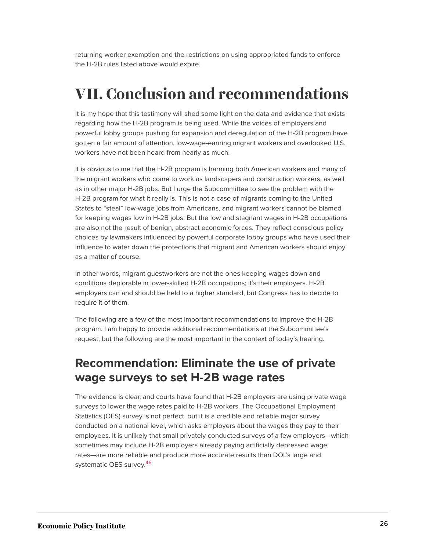returning worker exemption and the restrictions on using appropriated funds to enforce the H-2B rules listed above would expire.

# **VII. Conclusion and recommendations**

It is my hope that this testimony will shed some light on the data and evidence that exists regarding how the H-2B program is being used. While the voices of employers and powerful lobby groups pushing for expansion and deregulation of the H-2B program have gotten a fair amount of attention, low-wage-earning migrant workers and overlooked U.S. workers have not been heard from nearly as much.

It is obvious to me that the H-2B program is harming both American workers and many of the migrant workers who come to work as landscapers and construction workers, as well as in other major H-2B jobs. But I urge the Subcommittee to see the problem with the H-2B program for what it really is. This is not a case of migrants coming to the United States to "steal" low-wage jobs from Americans, and migrant workers cannot be blamed for keeping wages low in H-2B jobs. But the low and stagnant wages in H-2B occupations are also not the result of benign, abstract economic forces. They reflect conscious policy choices by lawmakers influenced by powerful corporate lobby groups who have used their influence to water down the protections that migrant and American workers should enjoy as a matter of course.

In other words, migrant guestworkers are not the ones keeping wages down and conditions deplorable in lower-skilled H-2B occupations; it's their employers. H-2B employers can and should be held to a higher standard, but Congress has to decide to require it of them.

The following are a few of the most important recommendations to improve the H-2B program. I am happy to provide additional recommendations at the Subcommittee's request, but the following are the most important in the context of today's hearing.

#### **Recommendation: Eliminate the use of private wage surveys to set H-2B wage rates**

<span id="page-26-0"></span>The evidence is clear, and courts have found that H-2B employers are using private wage surveys to lower the wage rates paid to H-2B workers. The Occupational Employment Statistics (OES) survey is not perfect, but it is a credible and reliable major survey conducted on a national level, which asks employers about the wages they pay to their employees. It is unlikely that small privately conducted surveys of a few employers—which sometimes may include H-2B employers already paying artificially depressed wage rates—are more reliable and produce more accurate results than DOL's large and systematic OES survey. [46](#page-31-1)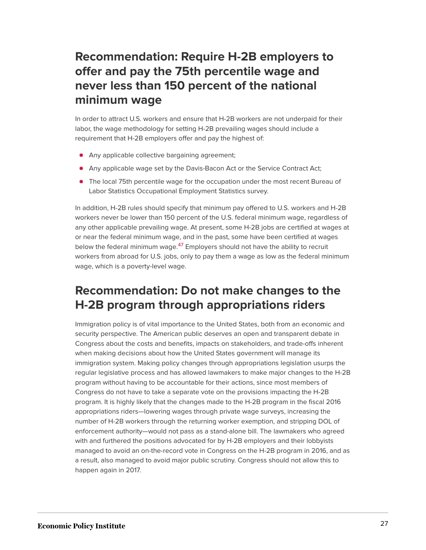### **Recommendation: Require H-2B employers to offer and pay the 75th percentile wage and never less than 150 percent of the national minimum wage**

In order to attract U.S. workers and ensure that H-2B workers are not underpaid for their labor, the wage methodology for setting H-2B prevailing wages should include a requirement that H-2B employers offer and pay the highest of:

- **Any applicable collective bargaining agreement;**
- Any applicable wage set by the Davis-Bacon Act or the Service Contract Act;
- The local 75th percentile wage for the occupation under the most recent Bureau of Labor Statistics Occupational Employment Statistics survey.

<span id="page-27-0"></span>In addition, H-2B rules should specify that minimum pay offered to U.S. workers and H-2B workers never be lower than 150 percent of the U.S. federal minimum wage, regardless of any other applicable prevailing wage. At present, some H-2B jobs are certified at wages at or near the federal minimum wage, and in the past, some have been certified at wages below the federal minimum wage.<sup>[47](#page-31-2)</sup> Employers should not have the ability to recruit workers from abroad for U.S. jobs, only to pay them a wage as low as the federal minimum wage, which is a poverty-level wage.

### **Recommendation: Do not make changes to the H-2B program through appropriations riders**

Immigration policy is of vital importance to the United States, both from an economic and security perspective. The American public deserves an open and transparent debate in Congress about the costs and benefits, impacts on stakeholders, and trade-offs inherent when making decisions about how the United States government will manage its immigration system. Making policy changes through appropriations legislation usurps the regular legislative process and has allowed lawmakers to make major changes to the H-2B program without having to be accountable for their actions, since most members of Congress do not have to take a separate vote on the provisions impacting the H-2B program. It is highly likely that the changes made to the H-2B program in the fiscal 2016 appropriations riders—lowering wages through private wage surveys, increasing the number of H-2B workers through the returning worker exemption, and stripping DOL of enforcement authority—would not pass as a stand-alone bill. The lawmakers who agreed with and furthered the positions advocated for by H-2B employers and their lobbyists managed to avoid an on-the-record vote in Congress on the H-2B program in 2016, and as a result, also managed to avoid major public scrutiny. Congress should not allow this to happen again in 2017.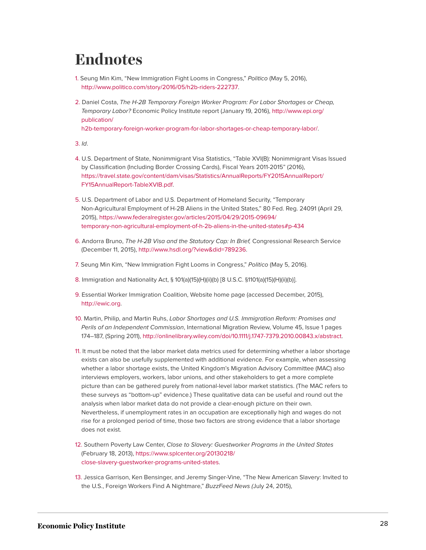# **Endnotes**

- <span id="page-28-0"></span>[1.](#page-2-0) Seung Min Kim, "New Immigration Fight Looms in Congress," *Politico* (May 5, 2016), <http://www.politico.com/story/2016/05/h2b-riders-222737>.
- <span id="page-28-1"></span>[2.](#page-3-0) Daniel Costa, *The H-2B Temporary Foreign Worker Program: For Labor Shortages or Cheap, Temporary Labor?* Economic Policy Institute report (January 19, 2016), [http://www.epi.org/](http://www.epi.org/publication/h2b-temporary-foreign-worker-program-for-labor-shortages-or-cheap-temporary-labor/) [publication/](http://www.epi.org/publication/h2b-temporary-foreign-worker-program-for-labor-shortages-or-cheap-temporary-labor/)

[h2b-temporary-foreign-worker-program-for-labor-shortages-or-cheap-temporary-labor/.](http://www.epi.org/publication/h2b-temporary-foreign-worker-program-for-labor-shortages-or-cheap-temporary-labor/)

<span id="page-28-2"></span>[3.](#page-3-1) *Id*.

- <span id="page-28-3"></span>[4.](#page-4-0) U.S. Department of State, Nonimmigrant Visa Statistics, "Table XVI(B): Nonimmigrant Visas Issued by Classification (Including Border Crossing Cards), Fiscal Years 2011-2015" (2016), [https://travel.state.gov/content/dam/visas/Statistics/AnnualReports/FY2015AnnualReport/](https://travel.state.gov/content/dam/visas/Statistics/AnnualReports/FY2015AnnualReport/FY15AnnualReport-TableXVIB.pdf) [FY15AnnualReport-TableXVIB.pdf](https://travel.state.gov/content/dam/visas/Statistics/AnnualReports/FY2015AnnualReport/FY15AnnualReport-TableXVIB.pdf).
- <span id="page-28-4"></span>[5.](#page-4-1) U.S. Department of Labor and U.S. Department of Homeland Security, "Temporary Non-Agricultural Employment of H-2B Aliens in the United States," 80 Fed. Reg. 24091 (April 29, 2015), [https://www.federalregister.gov/articles/2015/04/29/2015-09694/](https://www.federalregister.gov/articles/2015/04/29/2015-09694/temporary-non-agricultural-employment-of-h-2b-aliens-in-the-united-states#p-434) [temporary-non-agricultural-employment-of-h-2b-aliens-in-the-united-states#p-434](https://www.federalregister.gov/articles/2015/04/29/2015-09694/temporary-non-agricultural-employment-of-h-2b-aliens-in-the-united-states#p-434)
- <span id="page-28-5"></span>[6.](#page-4-2) Andorra Bruno, *The H-2B Visa and the Statutory Cap: In Brief,* Congressional Research Service (December 11, 2015), [http://www.hsdl.org/?view&did=789236.](http://www.hsdl.org/?view&did=789236)
- <span id="page-28-6"></span>[7.](#page-4-3) Seung Min Kim, "New Immigration Fight Looms in Congress," *Politico* (May 5, 2016).
- <span id="page-28-7"></span>[8.](#page-4-4) Immigration and Nationality Act, § 101(a)(15)(H)(ii)(b) [8 U.S.C. §1101(a)(15)(H)(ii)(b)].
- <span id="page-28-8"></span>[9.](#page-5-0) Essential Worker Immigration Coalition, Website home page (accessed December, 2015), <http://ewic.org>.
- <span id="page-28-9"></span>[10.](#page-5-1) Martin, Philip, and Martin Ruhs, *Labor Shortages and U.S. Immigration Reform: Promises and Perils of an Independent Commission*, International Migration Review, Volume 45, Issue 1 pages 174–187, (Spring 2011), <http://onlinelibrary.wiley.com/doi/10.1111/j.1747-7379.2010.00843.x/abstract>.
- <span id="page-28-10"></span>[11.](#page-5-2) It must be noted that the labor market data metrics used for determining whether a labor shortage exists can also be usefully supplemented with additional evidence. For example, when assessing whether a labor shortage exists, the United Kingdom's Migration Advisory Committee (MAC) also interviews employers, workers, labor unions, and other stakeholders to get a more complete picture than can be gathered purely from national-level labor market statistics. (The MAC refers to these surveys as "bottom-up" evidence.) These qualitative data can be useful and round out the analysis when labor market data do not provide a clear-enough picture on their own. Nevertheless, if unemployment rates in an occupation are exceptionally high and wages do not rise for a prolonged period of time, those two factors are strong evidence that a labor shortage does not exist.
- <span id="page-28-11"></span>[12.](#page-12-0) Southern Poverty Law Center, *Close to Slavery: Guestworker Programs in the United States* (February 18, 2013), [https://www.splcenter.org/20130218/](https://www.splcenter.org/20130218/close-slavery-guestworker-programs-united-states) [close-slavery-guestworker-programs-united-states.](https://www.splcenter.org/20130218/close-slavery-guestworker-programs-united-states)
- <span id="page-28-12"></span>[13.](#page-12-1) Jessica Garrison, Ken Bensinger, and Jeremy Singer-Vine, "The New American Slavery: Invited to the U.S., Foreign Workers Find A Nightmare," *BuzzFeed News (*July 24, 2015),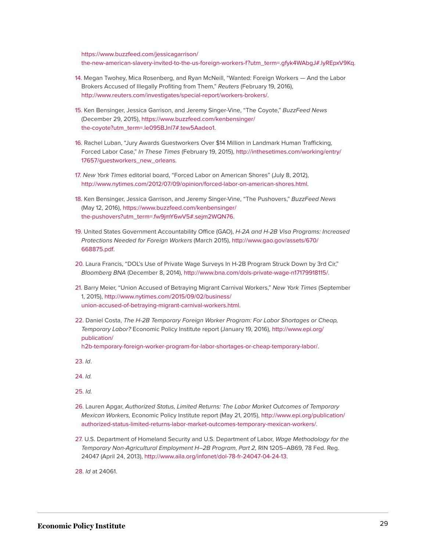[https://www.buzzfeed.com/jessicagarrison/](https://www.buzzfeed.com/jessicagarrison/the-new-american-slavery-invited-to-the-us-foreign-workers-f?utm_term=.gfyk4WAbgJ#.lyREpxV9Kq) [the-new-american-slavery-invited-to-the-us-foreign-workers-f?utm\\_term=.gfyk4WAbgJ#.lyREpxV9Kq](https://www.buzzfeed.com/jessicagarrison/the-new-american-slavery-invited-to-the-us-foreign-workers-f?utm_term=.gfyk4WAbgJ#.lyREpxV9Kq).

- <span id="page-29-0"></span>[14.](#page-12-2) Megan Twohey, Mica Rosenberg, and Ryan McNeill, "Wanted: Foreign Workers — And the Labor Brokers Accused of Illegally Profiting from Them," *Reuters* (February 19, 2016), [http://www.reuters.com/investigates/special-report/workers-brokers/.](http://www.reuters.com/investigates/special-report/workers-brokers/)
- <span id="page-29-1"></span>[15.](#page-12-3) Ken Bensinger, Jessica Garrison, and Jeremy Singer-Vine, "The Coyote," *BuzzFeed News* (December 29, 2015), [https://www.buzzfeed.com/kenbensinger/](https://www.buzzfeed.com/kenbensinger/the-coyote?utm_term=.le095BJnl7#.tew5Aadeo1) [the-coyote?utm\\_term=.le095BJnl7#.tew5Aadeo1](https://www.buzzfeed.com/kenbensinger/the-coyote?utm_term=.le095BJnl7#.tew5Aadeo1).
- <span id="page-29-2"></span>[16.](#page-12-4) Rachel Luban, "Jury Awards Guestworkers Over \$14 Million in Landmark Human Trafficking, Forced Labor Case," *In These Times* (February 19, 2015), [http://inthesetimes.com/working/entry/](http://inthesetimes.com/working/entry/17657/guestworkers_new_orleans) [17657/guestworkers\\_new\\_orleans](http://inthesetimes.com/working/entry/17657/guestworkers_new_orleans).
- <span id="page-29-3"></span>[17.](#page-12-5) *New York Times* editorial board, "Forced Labor on American Shores" (July 8, 2012), [http://www.nytimes.com/2012/07/09/opinion/forced-labor-on-american-shores.html.](http://www.nytimes.com/2012/07/09/opinion/forced-labor-on-american-shores.html)
- <span id="page-29-4"></span>[18.](#page-12-6) Ken Bensinger, Jessica Garrison, and Jeremy Singer-Vine, "The Pushovers," *BuzzFeed News* (May 12, 2016), [https://www.buzzfeed.com/kenbensinger/](https://www.buzzfeed.com/kenbensinger/the-pushovers?utm_term=.fw9jmY6wV5#.sejm2WQN76) [the-pushovers?utm\\_term=.fw9jmY6wV5#.sejm2WQN76](https://www.buzzfeed.com/kenbensinger/the-pushovers?utm_term=.fw9jmY6wV5#.sejm2WQN76).
- <span id="page-29-5"></span>[19.](#page-12-7) United States Government Accountability Office (GAO), *H-2A and H-2B Visa Programs: Increased Protections Needed for Foreign Workers* (March 2015), [http://www.gao.gov/assets/670/](http://www.gao.gov/assets/670/668875.pdf) [668875.pdf](http://www.gao.gov/assets/670/668875.pdf).
- <span id="page-29-6"></span>[20.](#page-12-8) Laura Francis, "DOL's Use of Private Wage Surveys In H-2B Program Struck Down by 3rd Cir," *Bloomberg BNA* (December 8, 2014), [http://www.bna.com/dols-private-wage-n17179918115/.](http://www.bna.com/dols-private-wage-n17179918115/)
- <span id="page-29-7"></span>[21.](#page-13-0) Barry Meier, "Union Accused of Betraying Migrant Carnival Workers," *New York Times* (September 1, 2015), [http://www.nytimes.com/2015/09/02/business/](http://www.nytimes.com/2015/09/02/business/union-accused-of-betraying-migrant-carnival-workers.html) [union-accused-of-betraying-migrant-carnival-workers.html.](http://www.nytimes.com/2015/09/02/business/union-accused-of-betraying-migrant-carnival-workers.html)
- <span id="page-29-8"></span>[22.](#page-13-1) Daniel Costa, *The H-2B Temporary Foreign Worker Program: For Labor Shortages or Cheap, Temporary Labor?* Economic Policy Institute report (January 19, 2016), [http://www.epi.org/](http://www.epi.org/publication/h2b-temporary-foreign-worker-program-for-labor-shortages-or-cheap-temporary-labor/) [publication/](http://www.epi.org/publication/h2b-temporary-foreign-worker-program-for-labor-shortages-or-cheap-temporary-labor/)

[h2b-temporary-foreign-worker-program-for-labor-shortages-or-cheap-temporary-labor/.](http://www.epi.org/publication/h2b-temporary-foreign-worker-program-for-labor-shortages-or-cheap-temporary-labor/)

<span id="page-29-9"></span>[23.](#page-13-2) *Id*.

<span id="page-29-10"></span>[24.](#page-13-3) *Id.*

<span id="page-29-11"></span>[25.](#page-13-4) *Id.*

- <span id="page-29-12"></span>[26.](#page-13-5) Lauren Apgar, *Authorized Status, Limited Returns: The Labor Market Outcomes of Temporary Mexican Workers,* Economic Policy Institute report (May 21, 2015), [http://www.epi.org/publication/](http://www.epi.org/publication/authorized-status-limited-returns-labor-market-outcomes-temporary-mexican-workers/) [authorized-status-limited-returns-labor-market-outcomes-temporary-mexican-workers/](http://www.epi.org/publication/authorized-status-limited-returns-labor-market-outcomes-temporary-mexican-workers/).
- <span id="page-29-13"></span>[27.](#page-13-6) U.S. Department of Homeland Security and U.S. Department of Labor, *Wage Methodology for the Temporary Non-Agricultural Employment H–2B Program, Part 2,* RIN 1205–AB69, 78 Fed. Reg. 24047 (April 24, 2013), [http://www.aila.org/infonet/dol-78-fr-24047-04-24-13.](http://www.aila.org/infonet/dol-78-fr-24047-04-24-13)

<span id="page-29-14"></span>[28.](#page-13-7) *Id* at 24061.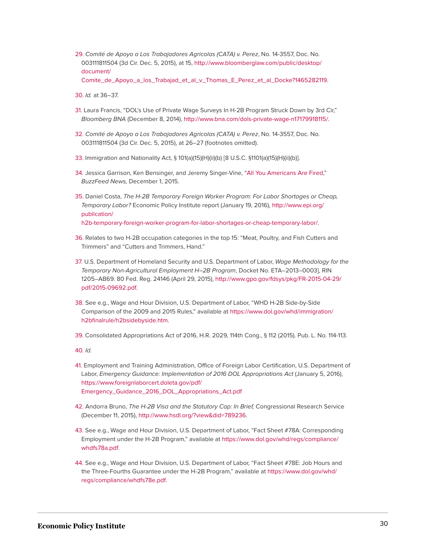<span id="page-30-0"></span>[29.](#page-15-0) *Comité de Apoyo a Los Trabajadores Agricolas (CATA) v. Perez*, No. 14-3557, Doc. No. 003111811504 (3d Cir. Dec. 5, 2015), at 15, [http://www.bloomberglaw.com/public/desktop/](http://www.bloomberglaw.com/public/desktop/document/Comite_de_Apoyo_a_los_Trabajad_et_al_v_Thomas_E_Perez_et_al_Docke?1465282119) [document/](http://www.bloomberglaw.com/public/desktop/document/Comite_de_Apoyo_a_los_Trabajad_et_al_v_Thomas_E_Perez_et_al_Docke?1465282119)

[Comite\\_de\\_Apoyo\\_a\\_los\\_Trabajad\\_et\\_al\\_v\\_Thomas\\_E\\_Perez\\_et\\_al\\_Docke?1465282119](http://www.bloomberglaw.com/public/desktop/document/Comite_de_Apoyo_a_los_Trabajad_et_al_v_Thomas_E_Perez_et_al_Docke?1465282119).

<span id="page-30-1"></span>[30.](#page-15-1) *Id.* at 36–37.

- <span id="page-30-2"></span>[31.](#page-15-2) Laura Francis, "DOL's Use of Private Wage Surveys In H-2B Program Struck Down by 3rd Cir," *Bloomberg BNA* (December 8, 2014), [http://www.bna.com/dols-private-wage-n17179918115/.](http://www.bna.com/dols-private-wage-n17179918115/)
- <span id="page-30-3"></span>[32.](#page-16-0) *Comité de Apoyo a Los Trabajadores Agricolas (CATA) v. Perez*, No. 14-3557, Doc. No. 003111811504 (3d Cir. Dec. 5, 2015), at 26–27 (footnotes omitted).
- <span id="page-30-4"></span>[33.](#page-16-1) Immigration and Nationality Act, § 101(a)(15)(H)(ii)(b) [8 U.S.C. §1101(a)(15)(H)(ii)(b)].
- <span id="page-30-5"></span>[34.](#page-16-2) Jessica Garrison, Ken Bensinger, and Jeremy Singer-Vine, "[All You Americans Are Fired,](https://www.buzzfeed.com/jessicagarrison/all-you-americans-are-fired?utm_term=.atlK3eXDPo#.kiAk2QGzJ8)" *BuzzFeed News,* December 1, 2015.
- <span id="page-30-6"></span>[35.](#page-17-0) Daniel Costa, *The H-2B Temporary Foreign Worker Program: For Labor Shortages or Cheap, Temporary Labor?* Economic Policy Institute report (January 19, 2016), [http://www.epi.org/](http://www.epi.org/publication/h2b-temporary-foreign-worker-program-for-labor-shortages-or-cheap-temporary-labor/) [publication/](http://www.epi.org/publication/h2b-temporary-foreign-worker-program-for-labor-shortages-or-cheap-temporary-labor/)

[h2b-temporary-foreign-worker-program-for-labor-shortages-or-cheap-temporary-labor/.](http://www.epi.org/publication/h2b-temporary-foreign-worker-program-for-labor-shortages-or-cheap-temporary-labor/)

- <span id="page-30-7"></span>[36.](#page-17-1) Relates to two H-2B occupation categories in the top 15: "Meat, Poultry, and Fish Cutters and Trimmers" and "Cutters and Trimmers, Hand."
- <span id="page-30-8"></span>[37.](#page-17-2) U.S. Department of Homeland Security and U.S. Department of Labor, *Wage Methodology for the Temporary Non-Agricultural Employment H–2B Program*, Docket No. ETA–2013–0003], RIN 1205–AB69. 80 Fed. Reg. 24146 (April 29, 2015), [http://www.gpo.gov/fdsys/pkg/FR-2015-04-29/](http://www.gpo.gov/fdsys/pkg/FR-2015-04-29/pdf/2015-09692.pdf) [pdf/2015-09692.pdf](http://www.gpo.gov/fdsys/pkg/FR-2015-04-29/pdf/2015-09692.pdf).
- <span id="page-30-9"></span>[38.](#page-22-0) See e.g., Wage and Hour Division, U.S. Department of Labor, "WHD H-2B Side-by-Side Comparison of the 2009 and 2015 Rules," available at [https://www.dol.gov/whd/immigration/](https://www.dol.gov/whd/immigration/h2bfinalrule/h2bsidebyside.htm) [h2bfinalrule/h2bsidebyside.htm](https://www.dol.gov/whd/immigration/h2bfinalrule/h2bsidebyside.htm).

<span id="page-30-10"></span>[39.](#page-22-1) Consolidated Appropriations Act of 2016, H.R. 2029, 114th Cong., § 112 (2015). Pub. L. No. 114-113.

<span id="page-30-11"></span>[40.](#page-22-2) *Id.*

- <span id="page-30-12"></span>[41.](#page-22-3) Employment and Training Administration, Office of Foreign Labor Certification, U.S. Department of Labor, *Emergency Guidance: Implementation of 2016 DOL Appropriations Act* (January 5, 2016), [https://www.foreignlaborcert.doleta.gov/pdf/](https://www.foreignlaborcert.doleta.gov/pdf/Emergency_Guidance_2016_DOL_Appropriations_Act.pdf) [Emergency\\_Guidance\\_2016\\_DOL\\_Appropriations\\_Act.pdf](https://www.foreignlaborcert.doleta.gov/pdf/Emergency_Guidance_2016_DOL_Appropriations_Act.pdf)
- <span id="page-30-13"></span>[42.](#page-23-0) Andorra Bruno, *The H-2B Visa and the Statutory Cap: In Brief,* Congressional Research Service (December 11, 2015), [http://www.hsdl.org/?view&did=789236.](http://www.hsdl.org/?view&did=789236)
- <span id="page-30-14"></span>[43.](#page-24-0) See e.g., Wage and Hour Division, U.S. Department of Labor, "Fact Sheet #78A: Corresponding Employment under the H-2B Program," available at [https://www.dol.gov/whd/regs/compliance/](https://www.dol.gov/whd/regs/compliance/whdfs78a.pdf) [whdfs78a.pdf](https://www.dol.gov/whd/regs/compliance/whdfs78a.pdf).
- <span id="page-30-15"></span>[44.](#page-24-1) See e.g., Wage and Hour Division, U.S. Department of Labor, "Fact Sheet #78E: Job Hours and the Three-Fourths Guarantee under the H-2B Program," available at [https://www.dol.gov/whd/](https://www.dol.gov/whd/regs/compliance/whdfs78e.pdf) [regs/compliance/whdfs78e.pdf](https://www.dol.gov/whd/regs/compliance/whdfs78e.pdf).